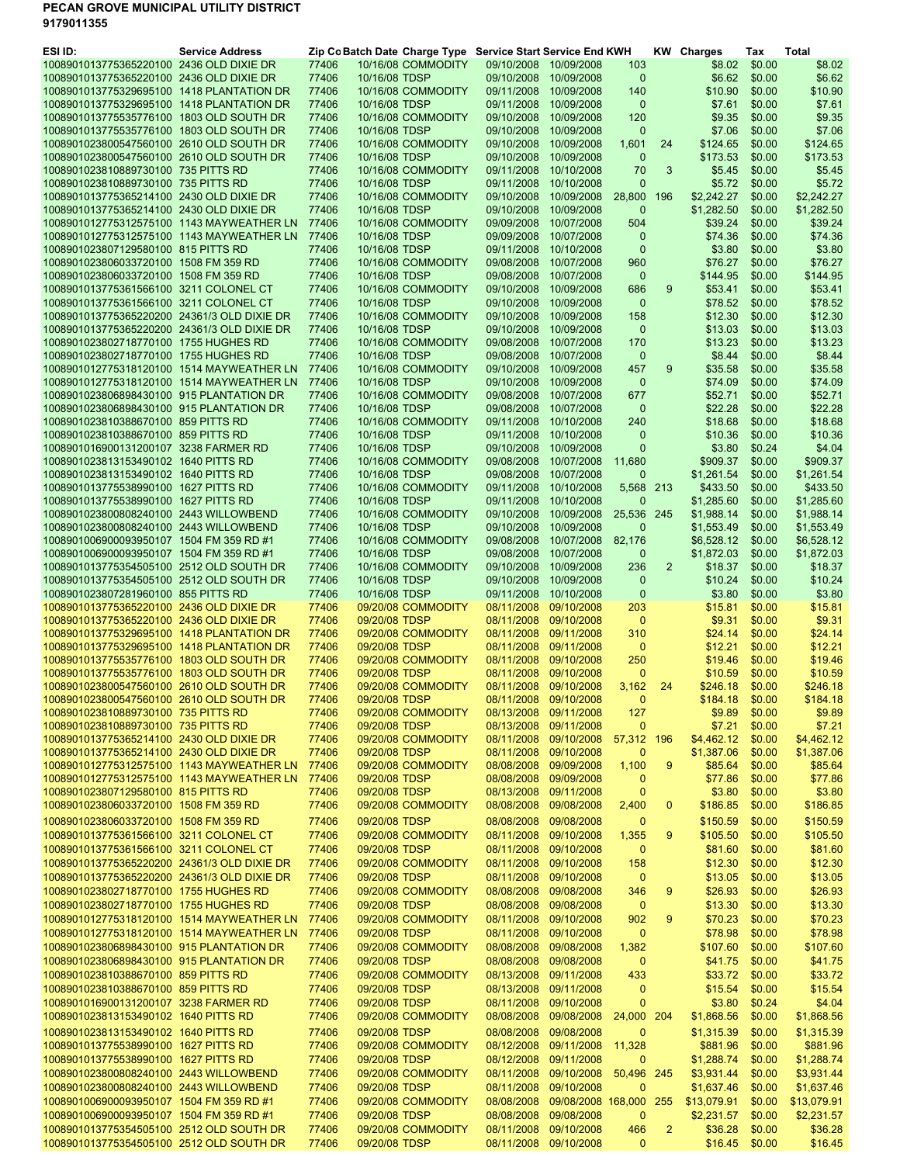## PECAN GROVE MUNICIPAL UTILITY DISTRICT 9179011355

| ESI ID:                                                                              | <b>Service Address</b> |                |               | Zip Co Batch Date Charge Type Service Start Service End KWH |                          |                                                |                       |                | <b>KW</b> Charges    | Tax              | Total                |
|--------------------------------------------------------------------------------------|------------------------|----------------|---------------|-------------------------------------------------------------|--------------------------|------------------------------------------------|-----------------------|----------------|----------------------|------------------|----------------------|
| 1008901013775365220100 2436 OLD DIXIE DR                                             |                        | 77406          |               | 10/16/08 COMMODITY                                          |                          | 09/10/2008 10/09/2008                          | 103                   |                | \$8.02               | \$0.00           | \$8.02               |
| 1008901013775365220100 2436 OLD DIXIE DR                                             |                        | 77406          | 10/16/08 TDSP |                                                             |                          | 09/10/2008 10/09/2008                          | $\mathbf{0}$          |                | \$6.62               | \$0.00           | \$6.62               |
| 1008901013775329695100 1418 PLANTATION DR                                            |                        | 77406          |               | 10/16/08 COMMODITY                                          |                          | 09/11/2008 10/09/2008                          | 140                   |                | \$10.90              | \$0.00           | \$10.90              |
| 1008901013775329695100 1418 PLANTATION DR                                            |                        | 77406          | 10/16/08 TDSP |                                                             | 09/11/2008               | 10/09/2008                                     | $\mathbf 0$           |                | \$7.61               | \$0.00           | \$7.61               |
| 1008901013775535776100 1803 OLD SOUTH DR<br>1008901013775535776100 1803 OLD SOUTH DR |                        | 77406<br>77406 | 10/16/08 TDSP | 10/16/08 COMMODITY                                          | 09/10/2008<br>09/10/2008 | 10/09/2008<br>10/09/2008                       | 120<br>$\mathbf 0$    |                | \$9.35<br>\$7.06     | \$0.00<br>\$0.00 | \$9.35<br>\$7.06     |
| 1008901023800547560100 2610 OLD SOUTH DR                                             |                        | 77406          |               | 10/16/08 COMMODITY                                          | 09/10/2008               | 10/09/2008                                     | 1,601                 | 24             | \$124.65             | \$0.00           | \$124.65             |
| 1008901023800547560100 2610 OLD SOUTH DR                                             |                        | 77406          | 10/16/08 TDSP |                                                             | 09/10/2008               | 10/09/2008                                     | $\mathbf{0}$          |                | \$173.53             | \$0.00           | \$173.53             |
| 1008901023810889730100 735 PITTS RD                                                  |                        | 77406          |               | 10/16/08 COMMODITY                                          | 09/11/2008               | 10/10/2008                                     | 70                    | 3              | \$5.45               | \$0.00           | \$5.45               |
| 1008901023810889730100 735 PITTS RD                                                  |                        | 77406          | 10/16/08 TDSP |                                                             | 09/11/2008               | 10/10/2008                                     | $\mathbf 0$           |                | \$5.72               | \$0.00           | \$5.72               |
| 1008901013775365214100 2430 OLD DIXIE DR                                             |                        | 77406          |               | 10/16/08 COMMODITY                                          | 09/10/2008               | 10/09/2008                                     | 28,800                | 196            | \$2,242.27           | \$0.00           | \$2,242.27           |
| 1008901013775365214100 2430 OLD DIXIE DR                                             |                        | 77406          | 10/16/08 TDSP |                                                             | 09/10/2008               | 10/09/2008                                     | $\mathbf 0$           |                | \$1,282.50           | \$0.00           | \$1,282.50           |
| 1008901012775312575100 1143 MAYWEATHER LN                                            |                        | 77406          |               | 10/16/08 COMMODITY                                          | 09/09/2008               | 10/07/2008                                     | 504                   |                | \$39.24              | \$0.00           | \$39.24              |
| 1008901012775312575100 1143 MAYWEATHER LN                                            |                        | 77406          | 10/16/08 TDSP |                                                             | 09/09/2008               | 10/07/2008                                     | $\mathbf{0}$          |                | \$74.36              | \$0.00           | \$74.36              |
| 1008901023807129580100 815 PITTS RD                                                  |                        | 77406          | 10/16/08 TDSP |                                                             | 09/11/2008               | 10/10/2008                                     | $\mathbf 0$           |                | \$3.80               | \$0.00           | \$3.80               |
| 1008901023806033720100 1508 FM 359 RD                                                |                        | 77406          |               | 10/16/08 COMMODITY                                          | 09/08/2008               | 10/07/2008                                     | 960                   |                | \$76.27              | \$0.00           | \$76.27              |
| 1008901023806033720100 1508 FM 359 RD                                                |                        | 77406          | 10/16/08 TDSP |                                                             | 09/08/2008               | 10/07/2008                                     | $\mathbf 0$           |                | \$144.95             | \$0.00           | \$144.95             |
| 1008901013775361566100 3211 COLONEL CT                                               |                        | 77406          |               | 10/16/08 COMMODITY                                          | 09/10/2008               | 10/09/2008                                     | 686                   | 9              | \$53.41              | \$0.00           | \$53.41              |
| 1008901013775361566100 3211 COLONEL CT                                               |                        | 77406          | 10/16/08 TDSP |                                                             | 09/10/2008               | 10/09/2008                                     | $\overline{0}$        |                | \$78.52              | \$0.00           | \$78.52              |
| 1008901013775365220200 24361/3 OLD DIXIE DR                                          |                        | 77406          |               | 10/16/08 COMMODITY                                          | 09/10/2008               | 10/09/2008                                     | 158                   |                | \$12.30              | \$0.00           | \$12.30              |
| 1008901013775365220200 24361/3 OLD DIXIE DR                                          |                        | 77406          | 10/16/08 TDSP |                                                             | 09/10/2008               | 10/09/2008                                     | $\mathbf 0$           |                | \$13.03              | \$0.00           | \$13.03              |
| 1008901023802718770100 1755 HUGHES RD                                                |                        | 77406          |               | 10/16/08 COMMODITY                                          | 09/08/2008               | 10/07/2008<br>10/07/2008                       | 170                   |                | \$13.23              | \$0.00           | \$13.23              |
| 1008901023802718770100 1755 HUGHES RD<br>1008901012775318120100 1514 MAYWEATHER LN   |                        | 77406<br>77406 | 10/16/08 TDSP |                                                             | 09/08/2008<br>09/10/2008 | 10/09/2008                                     | $\mathbf 0$           | 9              | \$8.44<br>\$35.58    | \$0.00<br>\$0.00 | \$8.44<br>\$35.58    |
| 1008901012775318120100 1514 MAYWEATHER LN                                            |                        | 77406          | 10/16/08 TDSP | 10/16/08 COMMODITY                                          | 09/10/2008               | 10/09/2008                                     | 457<br>$\overline{0}$ |                | \$74.09              | \$0.00           | \$74.09              |
| 1008901023806898430100 915 PLANTATION DR                                             |                        | 77406          |               | 10/16/08 COMMODITY                                          | 09/08/2008               | 10/07/2008                                     | 677                   |                | \$52.71              | \$0.00           | \$52.71              |
| 1008901023806898430100 915 PLANTATION DR                                             |                        | 77406          | 10/16/08 TDSP |                                                             | 09/08/2008               | 10/07/2008                                     | $\mathbf 0$           |                | \$22.28              | \$0.00           | \$22.28              |
| 1008901023810388670100 859 PITTS RD                                                  |                        | 77406          |               | 10/16/08 COMMODITY                                          | 09/11/2008               | 10/10/2008                                     | 240                   |                | \$18.68              | \$0.00           | \$18.68              |
| 1008901023810388670100 859 PITTS RD                                                  |                        | 77406          | 10/16/08 TDSP |                                                             | 09/11/2008               | 10/10/2008                                     | $\mathbf 0$           |                | \$10.36              | \$0.00           | \$10.36              |
| 1008901016900131200107 3238 FARMER RD                                                |                        | 77406          | 10/16/08 TDSP |                                                             | 09/10/2008               | 10/09/2008                                     | $\mathbf 0$           |                | \$3.80               | \$0.24           | \$4.04               |
| 1008901023813153490102 1640 PITTS RD                                                 |                        | 77406          |               | 10/16/08 COMMODITY                                          | 09/08/2008               | 10/07/2008                                     | 11,680                |                | \$909.37             | \$0.00           | \$909.37             |
| 1008901023813153490102 1640 PITTS RD                                                 |                        | 77406          | 10/16/08 TDSP |                                                             | 09/08/2008               | 10/07/2008                                     | $\mathbf 0$           |                | \$1,261.54           | \$0.00           | \$1,261.54           |
| 1008901013775538990100 1627 PITTS RD                                                 |                        | 77406          |               | 10/16/08 COMMODITY                                          | 09/11/2008               | 10/10/2008                                     | 5,568                 | 213            | \$433.50             | \$0.00           | \$433.50             |
| 1008901013775538990100 1627 PITTS RD                                                 |                        | 77406          | 10/16/08 TDSP |                                                             | 09/11/2008               | 10/10/2008                                     | $\mathbf 0$           |                | \$1,285.60           | \$0.00           | \$1,285.60           |
| 1008901023800808240100 2443 WILLOWBEND                                               |                        | 77406          |               | 10/16/08 COMMODITY                                          | 09/10/2008               | 10/09/2008                                     | 25,536                | 245            | \$1,988.14           | \$0.00           | \$1,988.14           |
| 1008901023800808240100 2443 WILLOWBEND                                               |                        | 77406          | 10/16/08 TDSP |                                                             | 09/10/2008               | 10/09/2008                                     | 0                     |                | \$1,553.49           | \$0.00           | \$1,553.49           |
| 1008901006900093950107 1504 FM 359 RD #1                                             |                        | 77406          |               | 10/16/08 COMMODITY                                          | 09/08/2008               | 10/07/2008                                     | 82,176                |                | \$6,528.12           | \$0.00           | \$6,528.12           |
| 1008901006900093950107 1504 FM 359 RD #1                                             |                        | 77406          | 10/16/08 TDSP |                                                             | 09/08/2008               | 10/07/2008                                     | $\mathbf 0$           |                | \$1,872.03           | \$0.00           | \$1,872.03           |
| 1008901013775354505100 2512 OLD SOUTH DR<br>1008901013775354505100 2512 OLD SOUTH DR |                        | 77406<br>77406 | 10/16/08 TDSP | 10/16/08 COMMODITY                                          | 09/10/2008<br>09/10/2008 | 10/09/2008                                     | 236<br>$\mathbf 0$    | $\overline{2}$ | \$18.37<br>\$10.24   | \$0.00<br>\$0.00 | \$18.37              |
| 1008901023807281960100 855 PITTS RD                                                  |                        | 77406          | 10/16/08 TDSP |                                                             |                          | 10/09/2008<br>09/11/2008 10/10/2008            | $\mathbf 0$           |                | \$3.80               | \$0.00           | \$10.24<br>\$3.80    |
| 1008901013775365220100 2436 OLD DIXIE DR                                             |                        | 77406          |               | 09/20/08 COMMODITY                                          | 08/11/2008               | 09/10/2008                                     | 203                   |                | \$15.81              | \$0.00           | \$15.81              |
| 1008901013775365220100 2436 OLD DIXIE DR                                             |                        | 77406          | 09/20/08 TDSP |                                                             |                          | 08/11/2008 09/10/2008                          | $\mathbf{0}$          |                | \$9.31               | \$0.00           | \$9.31               |
| 1008901013775329695100 1418 PLANTATION DR                                            |                        | 77406          |               | 09/20/08 COMMODITY                                          | 08/11/2008               | 09/11/2008                                     | 310                   |                | \$24.14              | \$0.00           | \$24.14              |
| 1008901013775329695100 1418 PLANTATION DR                                            |                        | 77406          | 09/20/08 TDSP |                                                             |                          | 08/11/2008 09/11/2008                          | $\mathbf{0}$          |                | \$12.21              | \$0.00           | \$12.21              |
| 1008901013775535776100 1803 OLD SOUTH DR                                             |                        | 77406          |               | 09/20/08 COMMODITY                                          | 08/11/2008               | 09/10/2008                                     | 250                   |                | \$19.46              | \$0.00           | \$19.46              |
| 1008901013775535776100 1803 OLD SOUTH DR                                             |                        | 77406          | 09/20/08 TDSP |                                                             |                          | 08/11/2008 09/10/2008                          | $\mathbf{0}$          |                | \$10.59              | \$0.00           | \$10.59              |
| 1008901023800547560100 2610 OLD SOUTH DR                                             |                        | 77406          |               | 09/20/08 COMMODITY                                          |                          | 08/11/2008 09/10/2008                          | 3,162                 | 24             | \$246.18             | \$0.00           | \$246.18             |
| 1008901023800547560100 2610 OLD SOUTH DR                                             |                        | 77406          | 09/20/08 TDSP |                                                             |                          | 08/11/2008 09/10/2008                          | $\Omega$              |                | \$184.18             | \$0.00           | \$184.18             |
| 1008901023810889730100 735 PITTS RD<br>1008901023810889730100 735 PITTS RD           |                        | 77406<br>77406 | 09/20/08 TDSP | 09/20/08 COMMODITY                                          |                          | 08/13/2008 09/11/2008                          | 127<br>$\mathbf{0}$   |                | \$9.89               | \$0.00           | \$9.89               |
| 1008901013775365214100 2430 OLD DIXIE DR                                             |                        | 77406          |               | 09/20/08 COMMODITY                                          |                          | 08/13/2008 09/11/2008<br>08/11/2008 09/10/2008 | 57,312 196            |                | \$7.21<br>\$4,462.12 | \$0.00<br>\$0.00 | \$7.21<br>\$4,462.12 |
| 1008901013775365214100 2430 OLD DIXIE DR                                             |                        | 77406          | 09/20/08 TDSP |                                                             |                          | 08/11/2008 09/10/2008                          | 0                     |                | \$1,387.06           | \$0.00           | \$1,387.06           |
| 1008901012775312575100 1143 MAYWEATHER LN                                            |                        | 77406          |               | 09/20/08 COMMODITY                                          |                          | 08/08/2008 09/09/2008                          | 1,100                 | 9              | \$85.64              | \$0.00           | \$85.64              |
| 1008901012775312575100 1143 MAYWEATHER LN                                            |                        | 77406          | 09/20/08 TDSP |                                                             |                          | 08/08/2008 09/09/2008                          | 0                     |                | \$77.86              | \$0.00           | \$77.86              |
| 1008901023807129580100 815 PITTS RD                                                  |                        | 77406          | 09/20/08 TDSP |                                                             |                          | 08/13/2008 09/11/2008                          | 0                     |                | \$3.80               | \$0.00           | \$3.80               |
| 1008901023806033720100 1508 FM 359 RD                                                |                        | 77406          |               | 09/20/08 COMMODITY                                          |                          | 08/08/2008 09/08/2008                          | 2,400                 | 0              | \$186.85             | \$0.00           | \$186.85             |
| 1008901023806033720100 1508 FM 359 RD                                                |                        | 77406          | 09/20/08 TDSP |                                                             |                          | 08/08/2008 09/08/2008                          | $\mathbf 0$           |                | \$150.59             | \$0.00           | \$150.59             |
| 1008901013775361566100 3211 COLONEL CT                                               |                        | 77406          |               | 09/20/08 COMMODITY                                          |                          | 08/11/2008 09/10/2008                          | 1,355                 | 9              | \$105.50             | \$0.00           | \$105.50             |
| 1008901013775361566100 3211 COLONEL CT                                               |                        | 77406          | 09/20/08 TDSP |                                                             |                          | 08/11/2008 09/10/2008                          | $\mathbf 0$           |                | \$81.60              | \$0.00           | \$81.60              |
| 1008901013775365220200 24361/3 OLD DIXIE DR                                          |                        | 77406          |               | 09/20/08 COMMODITY                                          |                          | 08/11/2008 09/10/2008                          | 158                   |                | \$12.30              | \$0.00           | \$12.30              |
| 1008901013775365220200 24361/3 OLD DIXIE DR                                          |                        | 77406          | 09/20/08 TDSP |                                                             |                          | 08/11/2008 09/10/2008                          | $\mathbf 0$           |                | \$13.05              | \$0.00           | \$13.05              |
| 1008901023802718770100 1755 HUGHES RD                                                |                        | 77406          |               | 09/20/08 COMMODITY                                          |                          | 08/08/2008 09/08/2008                          | 346                   | 9              | \$26.93              | \$0.00           | \$26.93              |
| 1008901023802718770100 1755 HUGHES RD                                                |                        | 77406          | 09/20/08 TDSP |                                                             |                          | 08/08/2008 09/08/2008                          | $\mathbf{0}$          |                | \$13.30              | \$0.00           | \$13.30              |
| 1008901012775318120100 1514 MAYWEATHER LN                                            |                        | 77406          |               | 09/20/08 COMMODITY                                          |                          | 08/11/2008 09/10/2008                          | 902                   | 9              | \$70.23              | \$0.00           | \$70.23              |
| 1008901012775318120100 1514 MAYWEATHER LN                                            |                        | 77406          | 09/20/08 TDSP |                                                             |                          | 08/11/2008 09/10/2008                          | $\mathbf{0}$          |                | \$78.98              | \$0.00           | \$78.98              |
| 1008901023806898430100 915 PLANTATION DR                                             |                        | 77406          |               | 09/20/08 COMMODITY                                          |                          | 08/08/2008 09/08/2008                          | 1,382                 |                | \$107.60             | \$0.00           | \$107.60             |
| 1008901023806898430100 915 PLANTATION DR                                             |                        | 77406          | 09/20/08 TDSP |                                                             |                          | 08/08/2008 09/08/2008                          | $\mathbf 0$           |                | \$41.75              | \$0.00           | \$41.75              |
| 1008901023810388670100 859 PITTS RD                                                  |                        | 77406          |               | 09/20/08 COMMODITY                                          |                          | 08/13/2008 09/11/2008                          | 433                   |                | \$33.72              | \$0.00           | \$33.72              |
| 1008901023810388670100 859 PITTS RD                                                  |                        | 77406          | 09/20/08 TDSP |                                                             |                          | 08/13/2008 09/11/2008                          | $\mathbf 0$           |                | \$15.54              | \$0.00           | \$15.54              |
| 1008901016900131200107 3238 FARMER RD                                                |                        | 77406          | 09/20/08 TDSP |                                                             |                          | 08/11/2008 09/10/2008                          | $\mathbf 0$           |                | \$3.80               | \$0.24           | \$4.04               |
| 1008901023813153490102 1640 PITTS RD                                                 |                        | 77406          |               | 09/20/08 COMMODITY                                          |                          | 08/08/2008 09/08/2008                          | 24,000 204            |                | \$1,868.56           | \$0.00           | \$1,868.56           |
| 1008901023813153490102 1640 PITTS RD                                                 |                        | 77406          | 09/20/08 TDSP |                                                             |                          | 08/08/2008 09/08/2008                          | $\mathbf{0}$          |                | \$1,315.39           | \$0.00           | \$1,315.39           |
| 1008901013775538990100 1627 PITTS RD                                                 |                        | 77406          |               | 09/20/08 COMMODITY                                          |                          | 08/12/2008 09/11/2008                          | 11,328                |                | \$881.96             | \$0.00           | \$881.96             |
| 1008901013775538990100 1627 PITTS RD                                                 |                        | 77406          | 09/20/08 TDSP |                                                             |                          | 08/12/2008 09/11/2008                          | 0                     |                | \$1,288.74           | \$0.00           | \$1,288.74           |
| 1008901023800808240100 2443 WILLOWBEND                                               |                        | 77406          |               | 09/20/08 COMMODITY                                          |                          | 08/11/2008 09/10/2008                          | 50,496 245            |                | \$3,931.44           | \$0.00           | \$3,931.44           |
| 1008901023800808240100 2443 WILLOWBEND                                               |                        | 77406          | 09/20/08 TDSP |                                                             |                          | 08/11/2008 09/10/2008                          | 0                     |                | \$1,637.46           | \$0.00           | \$1,637.46           |
| 1008901006900093950107 1504 FM 359 RD #1                                             |                        | 77406          |               | 09/20/08 COMMODITY                                          |                          | 08/08/2008 09/08/2008 168,000                  |                       | 255            | \$13,079.91          | \$0.00           | \$13,079.91          |
| 1008901006900093950107 1504 FM 359 RD #1                                             |                        | 77406          | 09/20/08 TDSP |                                                             |                          | 08/08/2008 09/08/2008                          | 0                     |                | \$2,231.57           | \$0.00           | \$2,231.57           |
| 1008901013775354505100 2512 OLD SOUTH DR                                             |                        | 77406          |               | 09/20/08 COMMODITY                                          |                          | 08/11/2008 09/10/2008                          | 466                   | $\overline{2}$ | \$36.28              | \$0.00           | \$36.28              |
| 1008901013775354505100 2512 OLD SOUTH DR                                             |                        | 77406          | 09/20/08 TDSP |                                                             |                          | 08/11/2008 09/10/2008                          | $\mathbf 0$           |                | \$16.45              | \$0.00           | \$16.45              |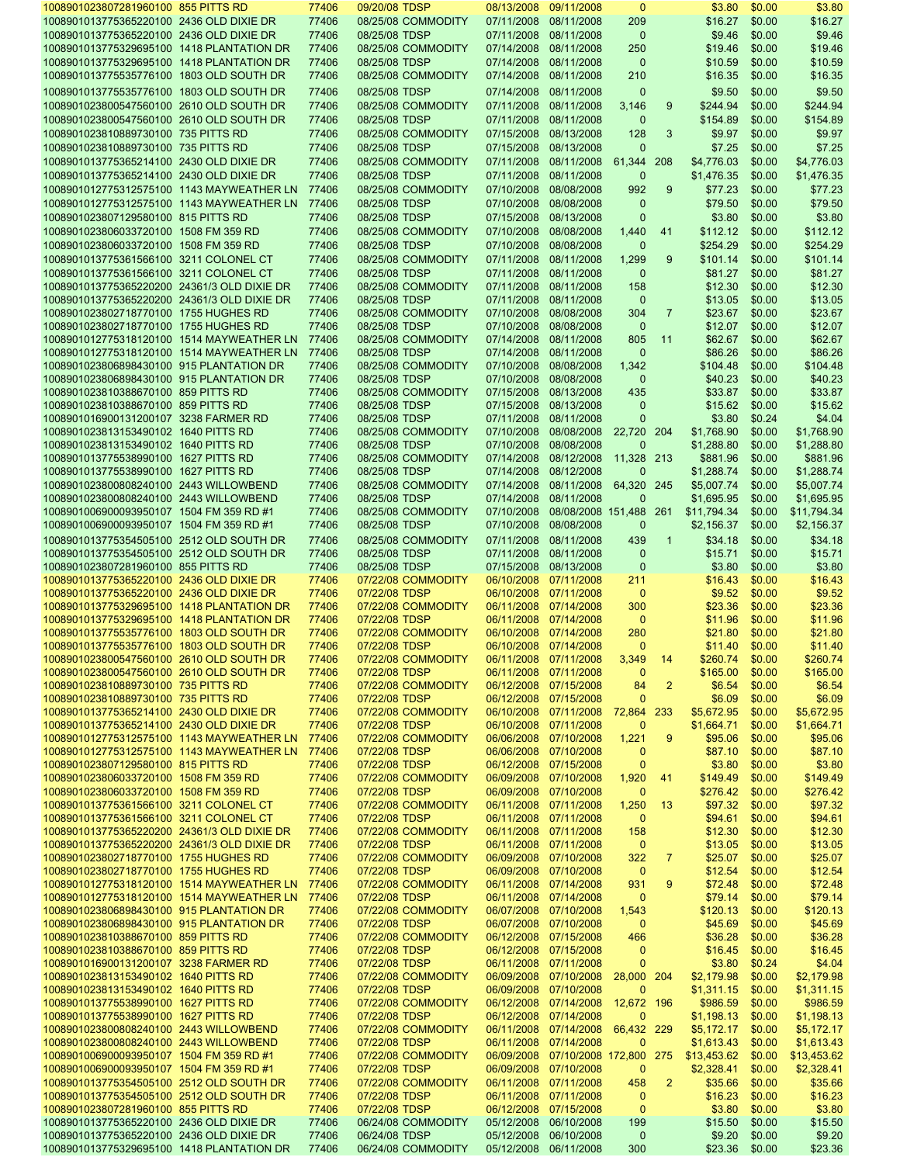| 1008901023807281960100 855 PITTS RD<br>1008901013775365220100 2436 OLD DIXIE DR       | 77406          | 09/20/08 TDSP                       |                       | 08/13/2008 09/11/2008                          | $\mathbf{0}$        |                | \$3.80            | \$0.00           | \$3.80            |
|---------------------------------------------------------------------------------------|----------------|-------------------------------------|-----------------------|------------------------------------------------|---------------------|----------------|-------------------|------------------|-------------------|
|                                                                                       | 77406          | 08/25/08 COMMODITY                  |                       | 07/11/2008 08/11/2008                          | 209                 |                | \$16.27           | \$0.00           | \$16.27           |
| 1008901013775365220100 2436 OLD DIXIE DR                                              | 77406          | 08/25/08 TDSP                       |                       | 07/11/2008 08/11/2008                          | $\mathbf{0}$        |                | \$9.46            | \$0.00           | \$9.46            |
|                                                                                       |                |                                     |                       |                                                |                     |                |                   |                  |                   |
| 1008901013775329695100 1418 PLANTATION DR                                             | 77406          | 08/25/08 COMMODITY                  |                       | 07/14/2008 08/11/2008                          | 250                 |                | \$19.46           | \$0.00           | \$19.46           |
| 1008901013775329695100 1418 PLANTATION DR                                             | 77406          | 08/25/08 TDSP                       |                       | 07/14/2008 08/11/2008                          | $\mathbf 0$         |                | \$10.59           | \$0.00           | \$10.59           |
| 1008901013775535776100 1803 OLD SOUTH DR                                              | 77406          | 08/25/08 COMMODITY                  |                       | 07/14/2008 08/11/2008                          | 210                 |                | \$16.35           | \$0.00           | \$16.35           |
| 1008901013775535776100 1803 OLD SOUTH DR                                              | 77406          | 08/25/08 TDSP                       |                       | 07/14/2008 08/11/2008                          | $\mathbf{0}$        |                | \$9.50            | \$0.00           | \$9.50            |
|                                                                                       |                |                                     |                       |                                                |                     |                |                   |                  |                   |
| 1008901023800547560100 2610 OLD SOUTH DR                                              | 77406          | 08/25/08 COMMODITY                  |                       | 07/11/2008 08/11/2008                          | 3,146               | 9              | \$244.94          | \$0.00           | \$244.94          |
| 1008901023800547560100 2610 OLD SOUTH DR                                              | 77406          | 08/25/08 TDSP                       |                       | 07/11/2008 08/11/2008                          | $\mathbf 0$         |                | \$154.89          | \$0.00           | \$154.89          |
| 1008901023810889730100 735 PITTS RD                                                   | 77406          | 08/25/08 COMMODITY                  |                       | 07/15/2008 08/13/2008                          | 128                 | 3              | \$9.97            | \$0.00           | \$9.97            |
|                                                                                       |                |                                     |                       |                                                |                     |                |                   |                  |                   |
| 1008901023810889730100 735 PITTS RD                                                   | 77406          | 08/25/08 TDSP                       |                       | 07/15/2008 08/13/2008                          | $\mathbf{0}$        |                | \$7.25            | \$0.00           | \$7.25            |
| 1008901013775365214100 2430 OLD DIXIE DR                                              | 77406          | 08/25/08 COMMODITY                  |                       | 07/11/2008 08/11/2008                          | 61,344              | 208            | \$4,776.03        | \$0.00           | \$4,776.03        |
| 1008901013775365214100 2430 OLD DIXIE DR                                              | 77406          | 08/25/08 TDSP                       |                       | 07/11/2008 08/11/2008                          | $\mathbf 0$         |                | \$1,476.35        | \$0.00           | \$1,476.35        |
| 1008901012775312575100 1143 MAYWEATHER LN                                             | 77406          | 08/25/08 COMMODITY                  |                       | 07/10/2008 08/08/2008                          | 992                 | 9              | \$77.23           | \$0.00           | \$77.23           |
|                                                                                       |                |                                     |                       |                                                |                     |                |                   |                  |                   |
| 1008901012775312575100 1143 MAYWEATHER LN                                             | 77406          | 08/25/08 TDSP                       |                       | 07/10/2008 08/08/2008                          | $\mathbf 0$         |                | \$79.50           | \$0.00           | \$79.50           |
| 1008901023807129580100 815 PITTS RD                                                   | 77406          | 08/25/08 TDSP                       |                       | 07/15/2008 08/13/2008                          | $\mathbf 0$         |                | \$3.80            | \$0.00           | \$3.80            |
| 1008901023806033720100 1508 FM 359 RD                                                 | 77406          | 08/25/08 COMMODITY                  |                       | 07/10/2008 08/08/2008                          | 1,440               | 41             | \$112.12          | \$0.00           | \$112.12          |
|                                                                                       |                |                                     |                       |                                                |                     |                |                   |                  |                   |
| 1008901023806033720100 1508 FM 359 RD                                                 | 77406          | 08/25/08 TDSP                       |                       | 07/10/2008 08/08/2008                          | $\mathbf 0$         |                | \$254.29          | \$0.00           | \$254.29          |
| 1008901013775361566100 3211 COLONEL CT                                                | 77406          | 08/25/08 COMMODITY                  |                       | 07/11/2008 08/11/2008                          | 1,299               | 9              | \$101.14          | \$0.00           | \$101.14          |
| 1008901013775361566100 3211 COLONEL CT                                                | 77406          | 08/25/08 TDSP                       |                       | 07/11/2008 08/11/2008                          | $\mathbf{0}$        |                | \$81.27           | \$0.00           | \$81.27           |
| 1008901013775365220200 24361/3 OLD DIXIE DR                                           | 77406          | 08/25/08 COMMODITY                  |                       | 07/11/2008 08/11/2008                          | 158                 |                | \$12.30           | \$0.00           | \$12.30           |
| 1008901013775365220200 24361/3 OLD DIXIE DR                                           |                |                                     |                       |                                                |                     |                |                   |                  |                   |
|                                                                                       | 77406          | 08/25/08 TDSP                       |                       | 07/11/2008 08/11/2008                          | $\mathbf{0}$        |                | \$13.05           | \$0.00           | \$13.05           |
| 1008901023802718770100 1755 HUGHES RD                                                 | 77406          | 08/25/08 COMMODITY                  |                       | 07/10/2008 08/08/2008                          | 304                 | $\overline{7}$ | \$23.67           | \$0.00           | \$23.67           |
| 1008901023802718770100 1755 HUGHES RD                                                 | 77406          | 08/25/08 TDSP                       |                       | 07/10/2008 08/08/2008                          | $\mathbf{0}$        |                | \$12.07           | \$0.00           | \$12.07           |
| 1008901012775318120100 1514 MAYWEATHER LN                                             | 77406          | 08/25/08 COMMODITY                  |                       | 07/14/2008 08/11/2008                          | 805                 | 11             | \$62.67           | \$0.00           | \$62.67           |
| 1008901012775318120100 1514 MAYWEATHER LN                                             | 77406          | 08/25/08 TDSP                       |                       | 07/14/2008 08/11/2008                          | $\mathbf{0}$        |                | \$86.26           | \$0.00           | \$86.26           |
| 1008901023806898430100 915 PLANTATION DR                                              | 77406          |                                     |                       | 07/10/2008 08/08/2008                          |                     |                |                   | \$0.00           | \$104.48          |
|                                                                                       |                | 08/25/08 COMMODITY                  |                       |                                                | 1,342               |                | \$104.48          |                  |                   |
| 1008901023806898430100 915 PLANTATION DR                                              | 77406          | 08/25/08 TDSP                       |                       | 07/10/2008 08/08/2008                          | $\mathbf{0}$        |                | \$40.23           | \$0.00           | \$40.23           |
| 1008901023810388670100 859 PITTS RD                                                   | 77406          | 08/25/08 COMMODITY                  |                       | 07/15/2008 08/13/2008                          | 435                 |                | \$33.87           | \$0.00           | \$33.87           |
| 1008901023810388670100 859 PITTS RD                                                   | 77406          | 08/25/08 TDSP                       |                       | 07/15/2008 08/13/2008                          | $\mathbf{0}$        |                | \$15.62           | \$0.00           | \$15.62           |
| 1008901016900131200107 3238 FARMER RD                                                 | 77406          | 08/25/08 TDSP                       | 07/11/2008 08/11/2008 |                                                | $\Omega$            |                | \$3.80            | \$0.24           | \$4.04            |
|                                                                                       |                |                                     |                       |                                                |                     |                |                   |                  |                   |
| 1008901023813153490102 1640 PITTS RD                                                  | 77406          | 08/25/08 COMMODITY                  |                       | 07/10/2008 08/08/2008                          | 22,720              | - 204          | \$1,768.90        | \$0.00           | \$1,768.90        |
| 1008901023813153490102 1640 PITTS RD                                                  | 77406          | 08/25/08 TDSP                       | 07/10/2008 08/08/2008 |                                                | $\Omega$            |                | \$1,288.80        | \$0.00           | \$1,288.80        |
| 1008901013775538990100 1627 PITTS RD                                                  | 77406          | 08/25/08 COMMODITY                  |                       | 07/14/2008 08/12/2008                          | 11,328 213          |                | \$881.96          | \$0.00           | \$881.96          |
| 1008901013775538990100 1627 PITTS RD                                                  | 77406          | 08/25/08 TDSP                       | 07/14/2008 08/12/2008 |                                                | $\Omega$            |                | \$1,288.74        | \$0.00           | \$1,288.74        |
| 1008901023800808240100 2443 WILLOWBEND                                                | 77406          |                                     |                       | 07/14/2008 08/11/2008                          | 64,320 245          |                |                   | \$0.00           | \$5,007.74        |
|                                                                                       |                | 08/25/08 COMMODITY                  |                       |                                                |                     |                | \$5,007.74        |                  |                   |
| 1008901023800808240100 2443 WILLOWBEND                                                | 77406          | 08/25/08 TDSP                       | 07/14/2008 08/11/2008 |                                                | $\mathbf{0}$        |                | \$1,695.95        | \$0.00           | \$1,695.95        |
| 1008901006900093950107 1504 FM 359 RD #1                                              | 77406          | 08/25/08 COMMODITY                  |                       | 07/10/2008 08/08/2008 151,488 261              |                     |                | \$11,794.34       | \$0.00           | \$11,794.34       |
| 1008901006900093950107 1504 FM 359 RD #1                                              | 77406          | 08/25/08 TDSP                       |                       | 07/10/2008 08/08/2008                          | 0                   |                | \$2,156.37        | \$0.00           | \$2,156.37        |
|                                                                                       |                |                                     |                       |                                                |                     |                |                   |                  |                   |
| 1008901013775354505100 2512 OLD SOUTH DR                                              | 77406          | 08/25/08 COMMODITY                  |                       | 07/11/2008 08/11/2008                          | 439                 | $\mathbf{1}$   | \$34.18           | \$0.00           | \$34.18           |
| 1008901013775354505100 2512 OLD SOUTH DR                                              | 77406          | 08/25/08 TDSP                       |                       | 07/11/2008 08/11/2008                          | $\mathbf{0}$        |                | \$15.71           | \$0.00           | \$15.71           |
| 1008901023807281960100 855 PITTS RD                                                   | 77406          | 08/25/08 TDSP                       |                       | 07/15/2008 08/13/2008                          | $\mathbf{0}$        |                | \$3.80            | \$0.00           | \$3.80            |
| 1008901013775365220100 2436 OLD DIXIE DR                                              | 77406          | 07/22/08 COMMODITY                  |                       | 06/10/2008 07/11/2008                          | 211                 |                | \$16.43           | \$0.00           | \$16.43           |
|                                                                                       | 77406          |                                     |                       |                                                |                     |                |                   |                  |                   |
| 1008901013775365220100 2436 OLD DIXIE DR                                              |                | 07/22/08 TDSP                       |                       | 06/10/2008 07/11/2008                          | $\mathbf{0}$        |                | \$9.52            | \$0.00           | \$9.52            |
| 1008901013775329695100 1418 PLANTATION DR                                             | 77406          | 07/22/08 COMMODITY                  |                       | 06/11/2008 07/14/2008                          | 300                 |                | \$23.36           | \$0.00           | \$23.36           |
|                                                                                       | 77406          | 07/22/08 TDSP                       |                       | 06/11/2008 07/14/2008                          | $\mathbf{0}$        |                | \$11.96           | \$0.00           | \$11.96           |
| 1008901013775329695100 1418 PLANTATION DR                                             |                |                                     |                       |                                                |                     |                |                   |                  |                   |
|                                                                                       |                |                                     |                       |                                                |                     |                |                   |                  |                   |
| 1008901013775535776100 1803 OLD SOUTH DR                                              | 77406          | 07/22/08 COMMODITY                  |                       | 06/10/2008 07/14/2008                          | 280                 |                | \$21.80           | \$0.00           | \$21.80           |
| 1008901013775535776100 1803 OLD SOUTH DR                                              | 77406          | 07/22/08 TDSP                       |                       | 06/10/2008 07/14/2008                          | $\mathbf{0}$        |                | \$11.40           | \$0.00           | \$11.40           |
| 1008901023800547560100 2610 OLD SOUTH DR                                              | 77406          | 07/22/08 COMMODITY                  |                       | 06/11/2008 07/11/2008                          | 3,349               | -14            | \$260.74          | \$0.00           | \$260.74          |
| 1008901023800547560100 2610 OLD SOUTH DR                                              | 77406          | 07/22/08 TDSP                       | 06/11/2008 07/11/2008 |                                                | $\mathbf 0$         |                | \$165.00          | \$0.00           | \$165.00          |
|                                                                                       | 77406          |                                     |                       | 06/12/2008 07/15/2008                          | 84                  | $\overline{2}$ | \$6.54            |                  |                   |
| 1008901023810889730100 735 PITTS RD                                                   |                | 07/22/08 COMMODITY                  |                       |                                                |                     |                |                   | \$0.00           | \$6.54            |
| 1008901023810889730100 735 PITTS RD                                                   | 77406          | 07/22/08 TDSP                       | 06/12/2008 07/15/2008 |                                                | $\mathbf{0}$        |                | \$6.09            | \$0.00           | \$6.09            |
| 1008901013775365214100 2430 OLD DIXIE DR                                              | 77406          | 07/22/08 COMMODITY                  |                       | 06/10/2008 07/11/2008 72,864 233               |                     |                | \$5,672.95        | \$0.00           | \$5,672.95        |
| 1008901013775365214100 2430 OLD DIXIE DR                                              | 77406          | 07/22/08 TDSP                       | 06/10/2008 07/11/2008 |                                                | $\mathbf{0}$        |                | \$1,664.71        | \$0.00           | \$1,664.71        |
| 1008901012775312575100 1143 MAYWEATHER LN 77406                                       |                | 07/22/08 COMMODITY                  |                       | 06/06/2008 07/10/2008                          | 1,221               | 9              | \$95.06           | \$0.00           | \$95.06           |
| 1008901012775312575100 1143 MAYWEATHER LN 77406                                       |                | 07/22/08 TDSP                       |                       | 06/06/2008 07/10/2008                          | $\mathbf 0$         |                | \$87.10           | \$0.00           | \$87.10           |
|                                                                                       |                |                                     |                       |                                                |                     |                |                   |                  |                   |
| 1008901023807129580100 815 PITTS RD                                                   | 77406          | 07/22/08 TDSP                       | 06/12/2008 07/15/2008 |                                                | $\mathbf{0}$        |                | \$3.80            | \$0.00           | \$3.80            |
| 1008901023806033720100 1508 FM 359 RD                                                 | 77406          | 07/22/08 COMMODITY                  | 06/09/2008 07/10/2008 |                                                | 1,920               | -41            | \$149.49          | \$0.00           | \$149.49          |
| 1008901023806033720100 1508 FM 359 RD                                                 | 77406          | 07/22/08 TDSP                       |                       | 06/09/2008 07/10/2008                          | $\mathbf 0$         |                | \$276.42          | \$0.00           | \$276.42          |
| 1008901013775361566100 3211 COLONEL CT                                                | 77406          | 07/22/08 COMMODITY                  |                       | 06/11/2008 07/11/2008                          | 1,250               | 13             | \$97.32           | \$0.00           | \$97.32           |
| 1008901013775361566100 3211 COLONEL CT                                                | 77406          | 07/22/08 TDSP                       |                       | 06/11/2008 07/11/2008                          | $\mathbf 0$         |                | \$94.61           | \$0.00           | \$94.61           |
| 1008901013775365220200 24361/3 OLD DIXIE DR                                           | 77406          | 07/22/08 COMMODITY                  |                       | 06/11/2008 07/11/2008                          | 158                 |                | \$12.30           | \$0.00           | \$12.30           |
|                                                                                       |                |                                     |                       |                                                |                     |                |                   |                  |                   |
| 1008901013775365220200 24361/3 OLD DIXIE DR                                           | 77406          | 07/22/08 TDSP                       |                       | 06/11/2008 07/11/2008                          | $\mathbf{0}$        |                | \$13.05           | \$0.00           | \$13.05           |
| 1008901023802718770100 1755 HUGHES RD                                                 | 77406          | 07/22/08 COMMODITY                  | 06/09/2008 07/10/2008 |                                                | 322                 | $\mathbf{7}$   | \$25.07           | \$0.00           | \$25.07           |
| 1008901023802718770100 1755 HUGHES RD                                                 | 77406          | 07/22/08 TDSP                       |                       | 06/09/2008 07/10/2008                          | $\mathbf{0}$        |                | \$12.54           | \$0.00           | \$12.54           |
| 1008901012775318120100 1514 MAYWEATHER LN                                             | 77406          | 07/22/08 COMMODITY                  | 06/11/2008 07/14/2008 |                                                | 931                 | 9              | \$72.48           | \$0.00           | \$72.48           |
|                                                                                       |                |                                     |                       |                                                | $\mathbf{0}$        |                |                   |                  |                   |
| 1008901012775318120100 1514 MAYWEATHER LN 77406                                       |                | 07/22/08 TDSP                       |                       | 06/11/2008 07/14/2008                          |                     |                | \$79.14           | \$0.00           | \$79.14           |
| 1008901023806898430100 915 PLANTATION DR                                              | 77406          | 07/22/08 COMMODITY                  | 06/07/2008 07/10/2008 |                                                | 1,543               |                | \$120.13          | \$0.00           | \$120.13          |
| 1008901023806898430100 915 PLANTATION DR                                              | 77406          | 07/22/08 TDSP                       |                       | 06/07/2008 07/10/2008                          | $\mathbf{0}$        |                | \$45.69           | \$0.00           | \$45.69           |
| 1008901023810388670100 859 PITTS RD                                                   | 77406          | 07/22/08 COMMODITY                  | 06/12/2008 07/15/2008 |                                                | 466                 |                | \$36.28           | \$0.00           | \$36.28           |
| 1008901023810388670100 859 PITTS RD                                                   | 77406          | 07/22/08 TDSP                       |                       | 06/12/2008 07/15/2008                          | $\mathbf 0$         |                | \$16.45           | \$0.00           | \$16.45           |
| 1008901016900131200107 3238 FARMER RD                                                 | 77406          | 07/22/08 TDSP                       | 06/11/2008 07/11/2008 |                                                | $\Omega$            |                | \$3.80            | \$0.24           | \$4.04            |
|                                                                                       |                |                                     |                       |                                                |                     |                |                   |                  |                   |
| 1008901023813153490102 1640 PITTS RD                                                  | 77406          | 07/22/08 COMMODITY                  |                       | 06/09/2008 07/10/2008                          | 28,000 204          |                | \$2,179.98        | \$0.00           | \$2,179.98        |
| 1008901023813153490102 1640 PITTS RD                                                  | 77406          | 07/22/08 TDSP                       | 06/09/2008 07/10/2008 |                                                | $\mathbf 0$         |                | \$1,311.15        | \$0.00           | \$1,311.15        |
| 1008901013775538990100 1627 PITTS RD                                                  | 77406          | 07/22/08 COMMODITY                  |                       | 06/12/2008 07/14/2008                          | 12,672 196          |                | \$986.59          | \$0.00           | \$986.59          |
| 1008901013775538990100 1627 PITTS RD                                                  | 77406          | 07/22/08 TDSP                       | 06/12/2008 07/14/2008 |                                                | $\mathbf{0}$        |                | \$1,198.13        | \$0.00           | \$1,198.13        |
| 1008901023800808240100 2443 WILLOWBEND                                                | 77406          | 07/22/08 COMMODITY                  |                       | 06/11/2008 07/14/2008                          | 66,432 229          |                | \$5,172.17        | \$0.00           | \$5,172.17        |
|                                                                                       |                |                                     |                       |                                                | $\mathbf{0}$        |                |                   |                  |                   |
| 1008901023800808240100 2443 WILLOWBEND                                                | 77406          | 07/22/08 TDSP                       | 06/11/2008 07/14/2008 |                                                |                     |                | \$1,613.43        | \$0.00           | \$1,613.43        |
| 1008901006900093950107 1504 FM 359 RD #1                                              | 77406          | 07/22/08 COMMODITY                  |                       | 06/09/2008 07/10/2008 172,800 275              |                     |                | \$13,453.62       | \$0.00           | \$13,453.62       |
| 1008901006900093950107 1504 FM 359 RD #1                                              | 77406          | 07/22/08 TDSP                       | 06/09/2008 07/10/2008 |                                                | $\mathbf{0}$        |                | \$2,328.41        | \$0.00           | \$2,328.41        |
| 1008901013775354505100 2512 OLD SOUTH DR                                              | 77406          | 07/22/08 COMMODITY                  |                       | 06/11/2008 07/11/2008                          | 458                 | $\overline{2}$ | \$35.66           | \$0.00           | \$35.66           |
| 1008901013775354505100 2512 OLD SOUTH DR                                              | 77406          | 07/22/08 TDSP                       |                       | 06/11/2008 07/11/2008                          | $\mathbf{0}$        |                | \$16.23           | \$0.00           | \$16.23           |
| 1008901023807281960100 855 PITTS RD                                                   | 77406          | 07/22/08 TDSP                       |                       | 06/12/2008 07/15/2008                          | $\mathbf{0}$        |                | \$3.80            | \$0.00           | \$3.80            |
|                                                                                       |                |                                     |                       |                                                |                     |                |                   |                  |                   |
| 1008901013775365220100 2436 OLD DIXIE DR                                              | 77406          | 06/24/08 COMMODITY                  |                       | 05/12/2008 06/10/2008                          | 199                 |                | \$15.50           | \$0.00           | \$15.50           |
| 1008901013775365220100 2436 OLD DIXIE DR<br>1008901013775329695100 1418 PLANTATION DR | 77406<br>77406 | 06/24/08 TDSP<br>06/24/08 COMMODITY |                       | 05/12/2008 06/10/2008<br>05/12/2008 06/11/2008 | $\mathbf{0}$<br>300 |                | \$9.20<br>\$23.36 | \$0.00<br>\$0.00 | \$9.20<br>\$23.36 |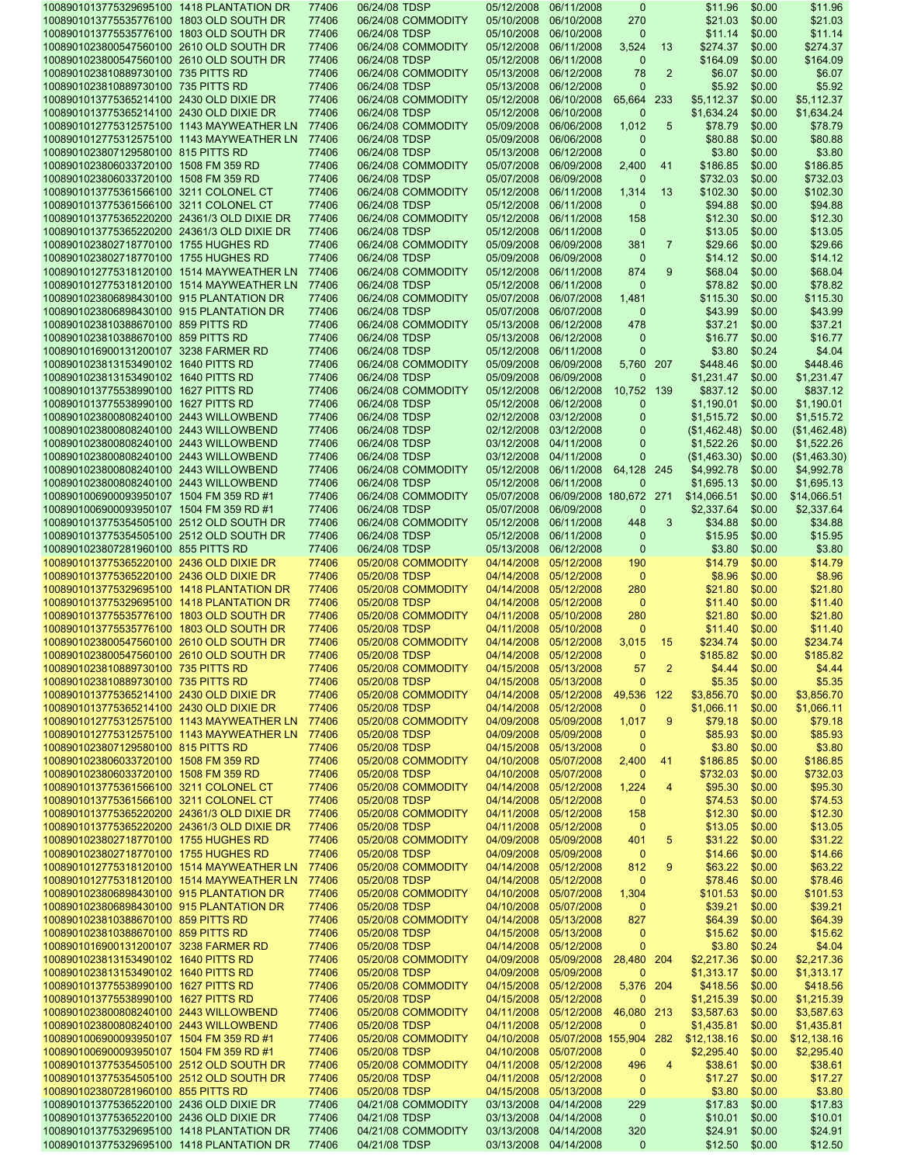|                                                                                        | 1008901013775329695100 1418 PLANTATION DR | 06/24/08 TDSP<br>77406 |                    | 05/12/2008            | 06/11/2008                        | $\mathbf 0$        |                | \$11.96                   | \$0.00           | \$11.96            |
|----------------------------------------------------------------------------------------|-------------------------------------------|------------------------|--------------------|-----------------------|-----------------------------------|--------------------|----------------|---------------------------|------------------|--------------------|
| 1008901013775535776100 1803 OLD SOUTH DR                                               | 77406                                     |                        | 06/24/08 COMMODITY | 05/10/2008            | 06/10/2008                        | 270                |                | \$21.03                   | \$0.00           | \$21.03            |
| 1008901013775535776100 1803 OLD SOUTH DR                                               | 77406                                     | 06/24/08 TDSP          |                    | 05/10/2008            | 06/10/2008                        | $\Omega$           |                | \$11.14                   | \$0.00           | \$11.14            |
| 1008901023800547560100 2610 OLD SOUTH DR                                               | 77406                                     |                        | 06/24/08 COMMODITY | 05/12/2008            | 06/11/2008                        | 3,524              | -13            | \$274.37                  | \$0.00           | \$274.37           |
| 1008901023800547560100 2610 OLD SOUTH DR                                               | 77406                                     | 06/24/08 TDSP          |                    | 05/12/2008            | 06/11/2008                        | $\mathbf 0$        |                | \$164.09                  | \$0.00           | \$164.09           |
| 1008901023810889730100 735 PITTS RD                                                    | 77406                                     |                        | 06/24/08 COMMODITY | 05/13/2008            | 06/12/2008                        | 78                 | $\overline{2}$ | \$6.07                    | \$0.00           | \$6.07             |
| 1008901023810889730100 735 PITTS RD                                                    | 77406                                     | 06/24/08 TDSP          |                    | 05/13/2008            | 06/12/2008                        | $\Omega$           |                | \$5.92                    | \$0.00           | \$5.92             |
| 1008901013775365214100 2430 OLD DIXIE DR                                               | 77406                                     |                        | 06/24/08 COMMODITY | 05/12/2008 06/10/2008 |                                   | 65,664             | 233            | \$5,112.37                | \$0.00           | \$5,112.37         |
| 1008901013775365214100 2430 OLD DIXIE DR                                               | 77406                                     | 06/24/08 TDSP          |                    | 05/12/2008            | 06/10/2008                        | $\Omega$           |                | \$1,634.24                | \$0.00           | \$1,634.24         |
| 1008901012775312575100 1143 MAYWEATHER LN                                              | 77406                                     |                        | 06/24/08 COMMODITY | 05/09/2008            | 06/06/2008                        | 1,012              | 5              | \$78.79                   | \$0.00           | \$78.79            |
| 1008901012775312575100 1143 MAYWEATHER LN                                              | 77406                                     | 06/24/08 TDSP          |                    | 05/09/2008            | 06/06/2008                        | $\Omega$           |                | \$80.88                   | \$0.00           | \$80.88            |
| 1008901023807129580100 815 PITTS RD                                                    | 77406                                     | 06/24/08 TDSP          |                    | 05/13/2008 06/12/2008 |                                   | $\Omega$           |                | \$3.80                    | \$0.00           | \$3.80             |
| 1008901023806033720100 1508 FM 359 RD                                                  | 77406                                     |                        | 06/24/08 COMMODITY | 05/07/2008            | 06/09/2008                        | 2,400              | 41             | \$186.85                  | \$0.00           | \$186.85           |
| 1008901023806033720100 1508 FM 359 RD                                                  | 77406                                     | 06/24/08 TDSP          |                    | 05/07/2008 06/09/2008 |                                   | $\Omega$           |                | \$732.03                  | \$0.00           | \$732.03           |
| 1008901013775361566100 3211 COLONEL CT                                                 | 77406                                     |                        | 06/24/08 COMMODITY | 05/12/2008            | 06/11/2008                        | 1,314              | 13             | \$102.30                  | \$0.00           | \$102.30           |
| 1008901013775361566100 3211 COLONEL CT                                                 | 77406                                     | 06/24/08 TDSP          |                    | 05/12/2008            | 06/11/2008                        | $\mathbf 0$        |                | \$94.88                   | \$0.00           | \$94.88            |
| 1008901013775365220200 24361/3 OLD DIXIE DR                                            | 77406                                     |                        | 06/24/08 COMMODITY | 05/12/2008 06/11/2008 |                                   | 158                |                | \$12.30                   | \$0.00           | \$12.30            |
| 1008901013775365220200 24361/3 OLD DIXIE DR                                            | 77406                                     | 06/24/08 TDSP          |                    | 05/12/2008            | 06/11/2008                        | $\mathbf{0}$       |                | \$13.05                   | \$0.00           | \$13.05            |
| 1008901023802718770100 1755 HUGHES RD                                                  | 77406                                     |                        | 06/24/08 COMMODITY | 05/09/2008            | 06/09/2008                        | 381                | $\overline{7}$ | \$29.66                   | \$0.00           | \$29.66            |
| 1008901023802718770100 1755 HUGHES RD                                                  | 77406                                     | 06/24/08 TDSP          |                    | 05/09/2008            | 06/09/2008                        | $\mathbf{0}$       |                | \$14.12                   | \$0.00           | \$14.12            |
| 1008901012775318120100 1514 MAYWEATHER LN                                              | 77406                                     |                        | 06/24/08 COMMODITY | 05/12/2008            | 06/11/2008                        | 874                | 9              | \$68.04                   | \$0.00           | \$68.04            |
| 1008901012775318120100 1514 MAYWEATHER LN                                              | 77406                                     | 06/24/08 TDSP          |                    | 05/12/2008            | 06/11/2008                        | $\mathbf 0$        |                | \$78.82                   | \$0.00           | \$78.82            |
| 1008901023806898430100 915 PLANTATION DR                                               | 77406                                     |                        | 06/24/08 COMMODITY | 05/07/2008            | 06/07/2008                        | 1,481              |                | \$115.30                  | \$0.00           | \$115.30           |
| 1008901023806898430100 915 PLANTATION DR                                               | 77406                                     |                        |                    |                       | 06/07/2008                        | $\Omega$           |                |                           |                  |                    |
|                                                                                        |                                           | 06/24/08 TDSP          | 06/24/08 COMMODITY | 05/07/2008            | 06/12/2008                        |                    |                | \$43.99                   | \$0.00           | \$43.99            |
| 1008901023810388670100 859 PITTS RD                                                    | 77406                                     |                        |                    | 05/13/2008            |                                   | 478                |                | \$37.21                   | \$0.00           | \$37.21            |
| 1008901023810388670100 859 PITTS RD                                                    | 77406                                     | 06/24/08 TDSP          |                    | 05/13/2008 06/12/2008 |                                   | $\mathbf 0$        |                | \$16.77                   | \$0.00           | \$16.77            |
| 1008901016900131200107 3238 FARMER RD                                                  | 77406                                     | 06/24/08 TDSP          |                    | 05/12/2008 06/11/2008 |                                   | O                  |                | \$3.80                    | \$0.24           | \$4.04             |
| 1008901023813153490102 1640 PITTS RD                                                   | 77406                                     |                        | 06/24/08 COMMODITY | 05/09/2008            | 06/09/2008                        | 5,760 207          |                | \$448.46                  | \$0.00           | \$448.46           |
| 1008901023813153490102 1640 PITTS RD                                                   | 77406                                     | 06/24/08 TDSP          |                    | 05/09/2008            | 06/09/2008                        | $\Omega$           |                | \$1,231.47                | \$0.00           | \$1,231.47         |
| 1008901013775538990100 1627 PITTS RD                                                   | 77406                                     |                        | 06/24/08 COMMODITY | 05/12/2008 06/12/2008 |                                   | 10,752             | 139            | \$837.12                  | \$0.00           | \$837.12           |
| 1008901013775538990100 1627 PITTS RD                                                   | 77406                                     | 06/24/08 TDSP          |                    | 05/12/2008            | 06/12/2008                        | 0                  |                | \$1,190.01                | \$0.00           | \$1,190.01         |
| 1008901023800808240100 2443 WILLOWBEND                                                 | 77406                                     | 06/24/08 TDSP          |                    | 02/12/2008 03/12/2008 |                                   | $\mathbf{0}$       |                | \$1,515.72                | \$0.00           | \$1,515.72         |
| 1008901023800808240100 2443 WILLOWBEND                                                 | 77406                                     | 06/24/08 TDSP          |                    | 02/12/2008 03/12/2008 |                                   | $\Omega$           |                | (\$1,462.48)              | \$0.00           | (\$1,462.48)       |
| 1008901023800808240100 2443 WILLOWBEND                                                 | 77406                                     | 06/24/08 TDSP          |                    | 03/12/2008 04/11/2008 |                                   | $\mathbf 0$        |                | \$1,522.26                | \$0.00           | \$1,522.26         |
| 1008901023800808240100 2443 WILLOWBEND                                                 | 77406                                     | 06/24/08 TDSP          |                    | 03/12/2008 04/11/2008 |                                   | $\Omega$           |                | (\$1,463.30)              | \$0.00           | (\$1,463.30)       |
| 1008901023800808240100 2443 WILLOWBEND                                                 | 77406                                     |                        | 06/24/08 COMMODITY | 05/12/2008 06/11/2008 |                                   | 64,128 245         |                | \$4,992.78                | \$0.00           | \$4,992.78         |
| 1008901023800808240100 2443 WILLOWBEND                                                 | 77406                                     | 06/24/08 TDSP          |                    | 05/12/2008            | 06/11/2008                        | $\Omega$           |                | \$1,695.13                | \$0.00           | \$1,695.13         |
| 1008901006900093950107 1504 FM 359 RD #1                                               | 77406                                     |                        | 06/24/08 COMMODITY | 05/07/2008            | 06/09/2008 180,672                |                    | 271            | \$14,066.51               | \$0.00           | \$14,066.51        |
| 1008901006900093950107 1504 FM 359 RD #1                                               | 77406                                     | 06/24/08 TDSP          |                    | 05/07/2008            | 06/09/2008                        | 0                  |                | \$2,337.64                | \$0.00           | \$2,337.64         |
| 1008901013775354505100 2512 OLD SOUTH DR                                               | 77406                                     |                        | 06/24/08 COMMODITY | 05/12/2008 06/11/2008 |                                   | 448                | 3              | \$34.88                   | \$0.00           | \$34.88            |
| 1008901013775354505100 2512 OLD SOUTH DR                                               | 77406                                     | 06/24/08 TDSP          |                    | 05/12/2008 06/11/2008 |                                   | $\mathbf{0}$       |                | \$15.95                   | \$0.00           | \$15.95            |
| 1008901023807281960100 855 PITTS RD                                                    | 77406                                     | 06/24/08 TDSP          |                    | 05/13/2008 06/12/2008 |                                   | $\mathbf{0}$       |                | \$3.80                    | \$0.00           | \$3.80             |
| 1008901013775365220100 2436 OLD DIXIE DR                                               | 77406                                     |                        | 05/20/08 COMMODITY | 04/14/2008 05/12/2008 |                                   | 190                |                | \$14.79                   | \$0.00           | \$14.79            |
| 1008901013775365220100 2436 OLD DIXIE DR                                               | 77406                                     | 05/20/08 TDSP          |                    | 04/14/2008 05/12/2008 |                                   | $\mathbf{0}$       |                | \$8.96                    | \$0.00           | \$8.96             |
| 1008901013775329695100 1418 PLANTATION DR                                              | 77406                                     |                        | 05/20/08 COMMODITY | 04/14/2008 05/12/2008 |                                   | 280                |                | \$21.80                   | \$0.00           | \$21.80            |
|                                                                                        | 77406                                     | 05/20/08 TDSP          |                    | 04/14/2008 05/12/2008 |                                   | $\mathbf 0$        |                |                           | \$0.00           |                    |
| 1008901013775329695100 1418 PLANTATION DR                                              |                                           |                        |                    | 04/11/2008 05/10/2008 |                                   |                    |                | \$11.40                   |                  | \$11.40            |
| 1008901013775535776100 1803 OLD SOUTH DR                                               | 77406                                     |                        | 05/20/08 COMMODITY |                       |                                   | 280                |                | \$21.80                   | \$0.00           | \$21.80            |
| 1008901013775535776100 1803 OLD SOUTH DR                                               | 77406                                     | 05/20/08 TDSP          |                    | 04/11/2008            | 05/10/2008                        | $\Omega$           |                | \$11.40                   | \$0.00           | \$11.40            |
| 1008901023800547560100 2610 OLD SOUTH DR                                               | 77406                                     |                        | 05/20/08 COMMODITY | 04/14/2008 05/12/2008 |                                   | 3,015              | -15            | \$234.74                  | \$0.00           | \$234.74           |
| 1008901023800547560100 2610 OLD SOUTH DR                                               | 77406                                     | 05/20/08 TDSP          |                    | 04/14/2008 05/12/2008 |                                   | $\Omega$           |                | \$185.82                  | \$0.00           | \$185.82           |
| 1008901023810889730100 735 PITTS RD                                                    | 77406                                     |                        | 05/20/08 COMMODITY | 04/15/2008 05/13/2008 |                                   | 57                 | $\overline{2}$ | \$4.44                    | \$0.00           | \$4.44             |
| 1008901023810889730100 735 PITTS RD                                                    | 77406                                     | 05/20/08 TDSP          |                    | 04/15/2008 05/13/2008 |                                   | $\mathbf{0}$       |                | \$5.35                    | \$0.00           | \$5.35             |
|                                                                                        | 77406                                     |                        | 05/20/08 COMMODITY |                       | 04/14/2008 05/12/2008             | 49,536 122         |                |                           |                  |                    |
| 1008901013775365214100 2430 OLD DIXIE DR                                               |                                           |                        |                    |                       |                                   |                    |                | \$3,856.70                | \$0.00           | \$3,856.70         |
| 1008901013775365214100 2430 OLD DIXIE DR                                               | 77406                                     | 05/20/08 TDSP          |                    | 04/14/2008 05/12/2008 |                                   | $\mathbf 0$        |                | \$1,066.11                | \$0.00           | \$1,066.11         |
| 1008901012775312575100 1143 MAYWEATHER LN                                              | 77406                                     |                        | 05/20/08 COMMODITY | 04/09/2008 05/09/2008 |                                   | 1,017              | 9              | \$79.18                   | \$0.00           | \$79.18            |
| 1008901012775312575100 1143 MAYWEATHER LN                                              | 77406                                     | 05/20/08 TDSP          |                    | 04/09/2008 05/09/2008 |                                   | $\mathbf 0$        |                | \$85.93                   | \$0.00           | \$85.93            |
| 1008901023807129580100 815 PITTS RD                                                    | 77406                                     | 05/20/08 TDSP          |                    | 04/15/2008 05/13/2008 |                                   | $\mathbf 0$        |                | \$3.80                    | \$0.00           | \$3.80             |
| 1008901023806033720100 1508 FM 359 RD                                                  | 77406                                     |                        | 05/20/08 COMMODITY | 04/10/2008 05/07/2008 |                                   | 2,400              | 41             | \$186.85                  | \$0.00           | \$186.85           |
| 1008901023806033720100 1508 FM 359 RD                                                  | 77406                                     | 05/20/08 TDSP          |                    | 04/10/2008 05/07/2008 |                                   | 0                  |                | \$732.03                  | \$0.00           | \$732.03           |
| 1008901013775361566100 3211 COLONEL CT                                                 | 77406                                     |                        | 05/20/08 COMMODITY | 04/14/2008 05/12/2008 |                                   | 1,224              | 4              | \$95.30                   | \$0.00           | \$95.30            |
| 1008901013775361566100 3211 COLONEL CT                                                 | 77406                                     | 05/20/08 TDSP          |                    | 04/14/2008 05/12/2008 |                                   | $\mathbf 0$        |                | \$74.53                   | \$0.00           | \$74.53            |
| 1008901013775365220200 24361/3 OLD DIXIE DR                                            | 77406                                     |                        | 05/20/08 COMMODITY | 04/11/2008 05/12/2008 |                                   | 158                |                | \$12.30                   | \$0.00           | \$12.30            |
| 1008901013775365220200 24361/3 OLD DIXIE DR                                            | 77406                                     | 05/20/08 TDSP          |                    | 04/11/2008 05/12/2008 |                                   | $\mathbf 0$        |                | \$13.05                   | \$0.00           | \$13.05            |
| 1008901023802718770100 1755 HUGHES RD                                                  | 77406                                     |                        | 05/20/08 COMMODITY | 04/09/2008 05/09/2008 |                                   | 401                | 5              |                           |                  |                    |
| 1008901023802718770100 1755 HUGHES RD                                                  | 77406                                     | 05/20/08 TDSP          |                    | 04/09/2008 05/09/2008 |                                   | $\mathbf 0$        |                | \$31.22<br>\$14.66        | \$0.00<br>\$0.00 | \$31.22<br>\$14.66 |
|                                                                                        |                                           |                        |                    |                       |                                   |                    |                |                           |                  |                    |
| 1008901012775318120100 1514 MAYWEATHER LN                                              | 77406                                     |                        | 05/20/08 COMMODITY | 04/14/2008 05/12/2008 |                                   | 812<br>$\mathbf 0$ | 9              | \$63.22                   | \$0.00           | \$63.22            |
| 1008901012775318120100 1514 MAYWEATHER LN                                              | 77406                                     | 05/20/08 TDSP          |                    | 04/14/2008 05/12/2008 |                                   |                    |                | \$78.46                   | \$0.00           | \$78.46            |
| 1008901023806898430100 915 PLANTATION DR                                               | 77406                                     |                        | 05/20/08 COMMODITY | 04/10/2008 05/07/2008 |                                   | 1,304              |                | \$101.53                  | \$0.00           | \$101.53           |
| 1008901023806898430100 915 PLANTATION DR                                               | 77406                                     | 05/20/08 TDSP          |                    | 04/10/2008 05/07/2008 |                                   | $\mathbf 0$        |                | \$39.21                   | \$0.00           | \$39.21            |
| 1008901023810388670100 859 PITTS RD                                                    | 77406                                     |                        | 05/20/08 COMMODITY | 04/14/2008 05/13/2008 |                                   | 827                |                | \$64.39                   | \$0.00           | \$64.39            |
| 1008901023810388670100 859 PITTS RD                                                    | 77406                                     | 05/20/08 TDSP          |                    | 04/15/2008 05/13/2008 |                                   | $\mathbf 0$        |                | \$15.62                   | \$0.00           | \$15.62            |
| 1008901016900131200107 3238 FARMER RD                                                  | 77406                                     | 05/20/08 TDSP          |                    | 04/14/2008 05/12/2008 |                                   | $\Omega$           |                | \$3.80                    | \$0.24           | \$4.04             |
| 1008901023813153490102 1640 PITTS RD                                                   | 77406                                     |                        | 05/20/08 COMMODITY |                       | 04/09/2008 05/09/2008             | 28,480 204         |                | \$2,217.36                | \$0.00           | \$2,217.36         |
| 1008901023813153490102 1640 PITTS RD                                                   | 77406                                     | 05/20/08 TDSP          |                    | 04/09/2008 05/09/2008 |                                   | $\Omega$           |                | \$1,313.17                | \$0.00           | \$1,313.17         |
| 1008901013775538990100 1627 PITTS RD                                                   | 77406                                     |                        | 05/20/08 COMMODITY | 04/15/2008 05/12/2008 |                                   | 5,376 204          |                | \$418.56                  | \$0.00           | \$418.56           |
| 1008901013775538990100 1627 PITTS RD                                                   | 77406                                     | 05/20/08 TDSP          |                    | 04/15/2008 05/12/2008 |                                   | $\mathbf 0$        |                | \$1,215.39                | \$0.00           | \$1,215.39         |
| 1008901023800808240100 2443 WILLOWBEND                                                 | 77406                                     |                        | 05/20/08 COMMODITY |                       | 04/11/2008 05/12/2008             | 46,080 213         |                | \$3,587.63                | \$0.00           | \$3,587.63         |
| 1008901023800808240100 2443 WILLOWBEND                                                 | 77406                                     | 05/20/08 TDSP          |                    | 04/11/2008 05/12/2008 |                                   | $\mathbf 0$        |                | \$1,435.81                | \$0.00           | \$1,435.81         |
| 1008901006900093950107 1504 FM 359 RD #1                                               | 77406                                     |                        | 05/20/08 COMMODITY |                       | 04/10/2008 05/07/2008 155,904 282 |                    |                | \$12,138.16               | \$0.00           | \$12,138.16        |
| 1008901006900093950107 1504 FM 359 RD #1                                               | 77406                                     | 05/20/08 TDSP          |                    | 04/10/2008 05/07/2008 |                                   | $\mathbf 0$        |                | \$2,295.40                | \$0.00           | \$2,295.40         |
| 1008901013775354505100 2512 OLD SOUTH DR                                               | 77406                                     |                        | 05/20/08 COMMODITY | 04/11/2008 05/12/2008 |                                   | 496                | 4              | \$38.61                   | \$0.00           | \$38.61            |
| 1008901013775354505100 2512 OLD SOUTH DR                                               | 77406                                     | 05/20/08 TDSP          |                    | 04/11/2008 05/12/2008 |                                   | $\mathbf 0$        |                | \$17.27                   | \$0.00           | \$17.27            |
| 1008901023807281960100 855 PITTS RD                                                    | 77406                                     | 05/20/08 TDSP          |                    | 04/15/2008 05/13/2008 |                                   | $\mathbf 0$        |                | \$3.80                    | \$0.00           | \$3.80             |
| 1008901013775365220100 2436 OLD DIXIE DR                                               | 77406                                     |                        | 04/21/08 COMMODITY | 03/13/2008 04/14/2008 |                                   | 229                |                | \$17.83                   | \$0.00           | \$17.83            |
| 1008901013775365220100 2436 OLD DIXIE DR                                               | 77406                                     | 04/21/08 TDSP          |                    | 03/13/2008 04/14/2008 |                                   | $\mathbf 0$        |                | \$10.01                   | \$0.00           | \$10.01            |
| 1008901013775329695100 1418 PLANTATION DR<br>1008901013775329695100 1418 PLANTATION DR | 77406                                     |                        | 04/21/08 COMMODITY | 03/13/2008 04/14/2008 |                                   | 320                |                | \$24.91<br>\$12.50 \$0.00 | \$0.00           | \$24.91            |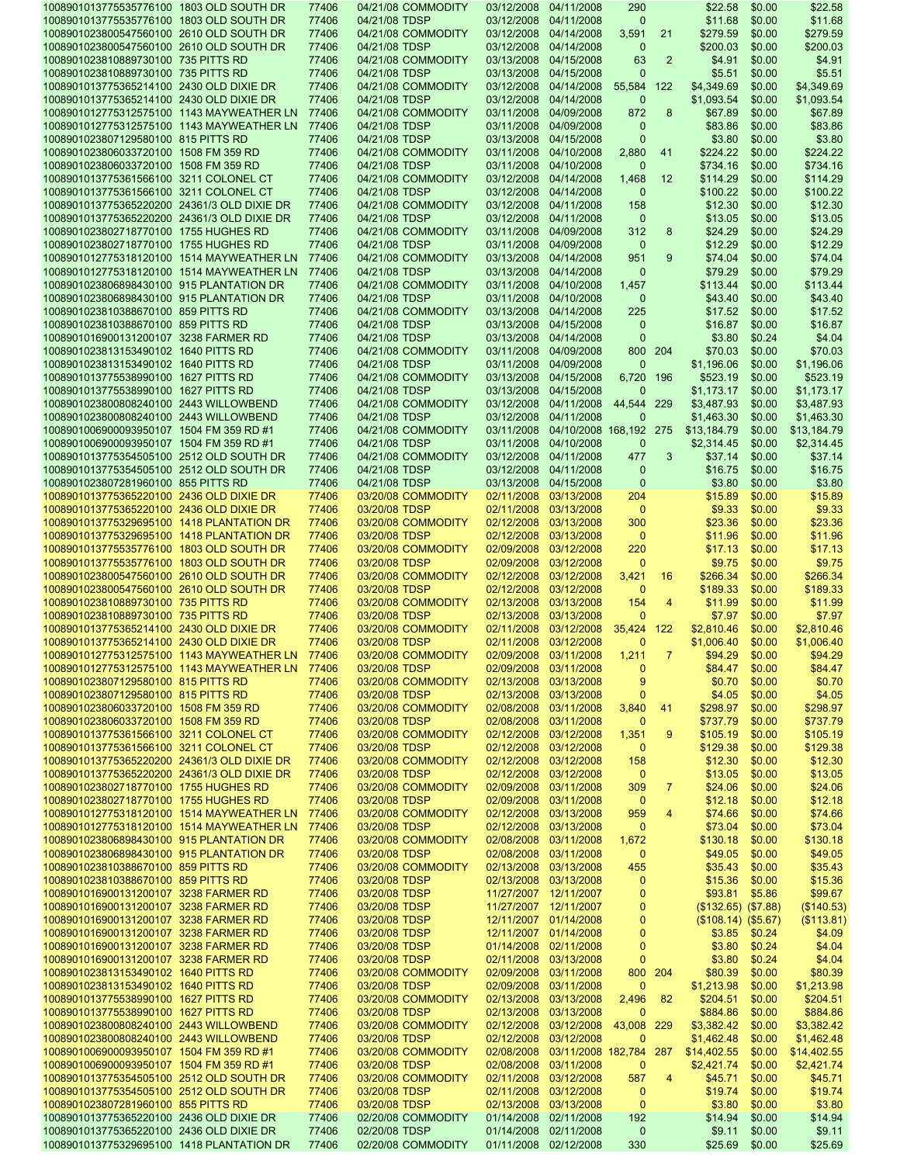| 1008901013775535776100 1803 OLD SOUTH DR    | 77406 | 04/21/08 COMMODITY | 03/12/2008 04/11/2008 |                                   | 290          |                | \$22.58             | \$0.00 | \$22.58     |
|---------------------------------------------|-------|--------------------|-----------------------|-----------------------------------|--------------|----------------|---------------------|--------|-------------|
| 1008901013775535776100 1803 OLD SOUTH DR    | 77406 | 04/21/08 TDSP      | 03/12/2008 04/11/2008 |                                   | $\mathbf 0$  |                | \$11.68             | \$0.00 | \$11.68     |
| 1008901023800547560100 2610 OLD SOUTH DR    | 77406 | 04/21/08 COMMODITY | 03/12/2008 04/14/2008 |                                   | 3,591        | 21             | \$279.59            | \$0.00 | \$279.59    |
|                                             |       |                    |                       |                                   |              |                |                     |        |             |
| 1008901023800547560100 2610 OLD SOUTH DR    | 77406 | 04/21/08 TDSP      | 03/12/2008 04/14/2008 |                                   | $\mathbf 0$  |                | \$200.03            | \$0.00 | \$200.03    |
| 1008901023810889730100 735 PITTS RD         | 77406 | 04/21/08 COMMODITY | 03/13/2008 04/15/2008 |                                   | 63           | $\overline{2}$ | \$4.91              | \$0.00 | \$4.91      |
| 1008901023810889730100 735 PITTS RD         | 77406 | 04/21/08 TDSP      | 03/13/2008 04/15/2008 |                                   | $\mathbf 0$  |                | \$5.51              | \$0.00 | \$5.51      |
| 1008901013775365214100 2430 OLD DIXIE DR    | 77406 | 04/21/08 COMMODITY |                       | 03/12/2008 04/14/2008             | 55,584 122   |                | \$4.349.69          | \$0.00 | \$4,349.69  |
| 1008901013775365214100 2430 OLD DIXIE DR    | 77406 | 04/21/08 TDSP      | 03/12/2008 04/14/2008 |                                   | $\mathbf 0$  |                | \$1,093.54          | \$0.00 | \$1,093.54  |
|                                             |       |                    |                       |                                   |              |                |                     |        |             |
| 1008901012775312575100 1143 MAYWEATHER LN   | 77406 | 04/21/08 COMMODITY | 03/11/2008 04/09/2008 |                                   | 872          | 8              | \$67.89             | \$0.00 | \$67.89     |
| 1008901012775312575100 1143 MAYWEATHER LN   | 77406 | 04/21/08 TDSP      | 03/11/2008 04/09/2008 |                                   | $\mathbf 0$  |                | \$83.86             | \$0.00 | \$83.86     |
| 1008901023807129580100 815 PITTS RD         | 77406 | 04/21/08 TDSP      | 03/13/2008 04/15/2008 |                                   | $\mathbf 0$  |                | \$3.80              | \$0.00 | \$3.80      |
| 1008901023806033720100 1508 FM 359 RD       | 77406 | 04/21/08 COMMODITY | 03/11/2008 04/10/2008 |                                   | 2,880        | 41             | \$224.22            | \$0.00 | \$224.22    |
| 1008901023806033720100 1508 FM 359 RD       | 77406 | 04/21/08 TDSP      | 03/11/2008 04/10/2008 |                                   | $\mathbf 0$  |                | \$734.16            | \$0.00 | \$734.16    |
|                                             |       |                    |                       |                                   |              |                |                     |        |             |
| 1008901013775361566100 3211 COLONEL CT      | 77406 | 04/21/08 COMMODITY | 03/12/2008 04/14/2008 |                                   | 1,468        | 12             | \$114.29            | \$0.00 | \$114.29    |
| 1008901013775361566100 3211 COLONEL CT      | 77406 | 04/21/08 TDSP      | 03/12/2008 04/14/2008 |                                   | $\mathbf 0$  |                | \$100.22            | \$0.00 | \$100.22    |
| 1008901013775365220200 24361/3 OLD DIXIE DR | 77406 | 04/21/08 COMMODITY | 03/12/2008 04/11/2008 |                                   | 158          |                | \$12.30             | \$0.00 | \$12.30     |
| 1008901013775365220200 24361/3 OLD DIXIE DR | 77406 | 04/21/08 TDSP      | 03/12/2008 04/11/2008 |                                   | $\mathbf 0$  |                | \$13.05             | \$0.00 | \$13.05     |
| 1008901023802718770100 1755 HUGHES RD       | 77406 | 04/21/08 COMMODITY | 03/11/2008 04/09/2008 |                                   | 312          | 8              | \$24.29             | \$0.00 | \$24.29     |
|                                             |       |                    |                       |                                   |              |                |                     |        |             |
| 1008901023802718770100 1755 HUGHES RD       | 77406 | 04/21/08 TDSP      | 03/11/2008 04/09/2008 |                                   | $\mathbf 0$  |                | \$12.29             | \$0.00 | \$12.29     |
| 1008901012775318120100 1514 MAYWEATHER LN   | 77406 | 04/21/08 COMMODITY | 03/13/2008 04/14/2008 |                                   | 951          | 9              | \$74.04             | \$0.00 | \$74.04     |
| 1008901012775318120100 1514 MAYWEATHER LN   | 77406 | 04/21/08 TDSP      | 03/13/2008 04/14/2008 |                                   | $\mathbf 0$  |                | \$79.29             | \$0.00 | \$79.29     |
| 1008901023806898430100 915 PLANTATION DR    | 77406 | 04/21/08 COMMODITY | 03/11/2008 04/10/2008 |                                   | 1,457        |                | \$113.44            | \$0.00 | \$113.44    |
| 1008901023806898430100 915 PLANTATION DR    | 77406 | 04/21/08 TDSP      | 03/11/2008 04/10/2008 |                                   | $\mathbf 0$  |                | \$43.40             | \$0.00 | \$43.40     |
|                                             |       |                    |                       |                                   |              |                |                     |        |             |
| 1008901023810388670100 859 PITTS RD         | 77406 | 04/21/08 COMMODITY | 03/13/2008 04/14/2008 |                                   | 225          |                | \$17.52             | \$0.00 | \$17.52     |
| 1008901023810388670100 859 PITTS RD         | 77406 | 04/21/08 TDSP      | 03/13/2008 04/15/2008 |                                   | $\mathbf 0$  |                | \$16.87             | \$0.00 | \$16.87     |
| 1008901016900131200107 3238 FARMER RD       | 77406 | 04/21/08 TDSP      | 03/13/2008 04/14/2008 |                                   | $\mathbf{0}$ |                | \$3.80              | \$0.24 | \$4.04      |
| 1008901023813153490102 1640 PITTS RD        | 77406 | 04/21/08 COMMODITY | 03/11/2008 04/09/2008 |                                   |              | 800 204        | \$70.03             | \$0.00 | \$70.03     |
| 1008901023813153490102 1640 PITTS RD        | 77406 | 04/21/08 TDSP      | 03/11/2008 04/09/2008 |                                   | $\mathbf 0$  |                | \$1,196.06          | \$0.00 | \$1,196.06  |
|                                             |       |                    |                       |                                   |              |                |                     |        | \$523.19    |
| 1008901013775538990100 1627 PITTS RD        | 77406 | 04/21/08 COMMODITY | 03/13/2008 04/15/2008 |                                   | 6,720        | 196            | \$523.19            | \$0.00 |             |
| 1008901013775538990100 1627 PITTS RD        | 77406 | 04/21/08 TDSP      | 03/13/2008 04/15/2008 |                                   | $\mathbf 0$  |                | \$1,173.17          | \$0.00 | \$1,173.17  |
| 1008901023800808240100 2443 WILLOWBEND      | 77406 | 04/21/08 COMMODITY |                       | 03/12/2008 04/11/2008             | 44,544 229   |                | \$3,487.93          | \$0.00 | \$3,487.93  |
| 1008901023800808240100 2443 WILLOWBEND      | 77406 | 04/21/08 TDSP      | 03/12/2008 04/11/2008 |                                   | $\mathbf{0}$ |                | \$1,463.30          | \$0.00 | \$1,463.30  |
| 1008901006900093950107 1504 FM 359 RD #1    | 77406 | 04/21/08 COMMODITY |                       | 03/11/2008 04/10/2008 168,192 275 |              |                | \$13,184.79         | \$0.00 | \$13,184.79 |
|                                             |       |                    |                       |                                   |              |                |                     |        |             |
| 1008901006900093950107 1504 FM 359 RD #1    | 77406 | 04/21/08 TDSP      | 03/11/2008 04/10/2008 |                                   | $\mathbf 0$  |                | \$2,314.45          | \$0.00 | \$2,314.45  |
| 1008901013775354505100 2512 OLD SOUTH DR    | 77406 | 04/21/08 COMMODITY | 03/12/2008 04/11/2008 |                                   | 477          | 3              | \$37.14             | \$0.00 | \$37.14     |
| 1008901013775354505100 2512 OLD SOUTH DR    | 77406 | 04/21/08 TDSP      | 03/12/2008 04/11/2008 |                                   | $\mathbf 0$  |                | \$16.75             | \$0.00 | \$16.75     |
| 1008901023807281960100 855 PITTS RD         | 77406 | 04/21/08 TDSP      | 03/13/2008 04/15/2008 |                                   | $\mathbf 0$  |                | \$3.80              | \$0.00 | \$3.80      |
| 1008901013775365220100 2436 OLD DIXIE DR    | 77406 | 03/20/08 COMMODITY | 02/11/2008 03/13/2008 |                                   | 204          |                | \$15.89             | \$0.00 | \$15.89     |
|                                             |       |                    |                       |                                   |              |                |                     |        |             |
| 1008901013775365220100 2436 OLD DIXIE DR    | 77406 | 03/20/08 TDSP      | 02/11/2008 03/13/2008 |                                   | $\mathbf 0$  |                | \$9.33              | \$0.00 | \$9.33      |
| 1008901013775329695100 1418 PLANTATION DR   | 77406 | 03/20/08 COMMODITY | 02/12/2008 03/13/2008 |                                   | 300          |                | \$23.36             | \$0.00 | \$23.36     |
| 1008901013775329695100 1418 PLANTATION DR   | 77406 | 03/20/08 TDSP      | 02/12/2008 03/13/2008 |                                   | $\mathbf 0$  |                | \$11.96             | \$0.00 | \$11.96     |
| 1008901013775535776100 1803 OLD SOUTH DR    | 77406 | 03/20/08 COMMODITY | 02/09/2008 03/12/2008 |                                   | 220          |                | \$17.13             | \$0.00 | \$17.13     |
| 1008901013775535776100 1803 OLD SOUTH DR    | 77406 | 03/20/08 TDSP      | 02/09/2008 03/12/2008 |                                   | 0            |                | \$9.75              | \$0.00 | \$9.75      |
| 1008901023800547560100 2610 OLD SOUTH DR    | 77406 | 03/20/08 COMMODITY | 02/12/2008 03/12/2008 |                                   | 3,421        | 16             | \$266.34            | \$0.00 | \$266.34    |
|                                             |       |                    |                       |                                   |              |                |                     |        |             |
| 1008901023800547560100 2610 OLD SOUTH DR    | 77406 | 03/20/08 TDSP      | 02/12/2008 03/12/2008 |                                   | $\mathbf 0$  |                | \$189.33            | \$0.00 | \$189.33    |
| 1008901023810889730100 735 PITTS RD         | 77406 | 03/20/08 COMMODITY | 02/13/2008 03/13/2008 |                                   | 154          | $\overline{4}$ | \$11.99             | \$0.00 | \$11.99     |
| 1008901023810889730100 735 PITTS RD         | 77406 | 03/20/08 TDSP      | 02/13/2008 03/13/2008 |                                   | $\mathbf 0$  |                | \$7.97              | \$0.00 | \$7.97      |
| 1008901013775365214100 2430 OLD DIXIE DR    | 77406 | 03/20/08 COMMODITY |                       | 02/11/2008 03/12/2008             | 35,424 122   |                | \$2,810.46          | \$0.00 | \$2,810.46  |
| 1008901013775365214100 2430 OLD DIXIE DR    | 77406 | 03/20/08 TDSP      | 02/11/2008 03/12/2008 |                                   | $\mathbf 0$  |                | \$1,006.40          | \$0.00 | \$1,006.40  |
|                                             |       |                    |                       |                                   |              |                |                     |        |             |
| 1008901012775312575100 1143 MAYWEATHER LN   | 77406 | 03/20/08 COMMODITY | 02/09/2008 03/11/2008 |                                   | 1,211        | $\overline{7}$ | \$94.29             | \$0.00 | \$94.29     |
| 1008901012775312575100 1143 MAYWEATHER LN   | 77406 | 03/20/08 TDSP      | 02/09/2008 03/11/2008 |                                   | 0            |                | \$84.47             | \$0.00 | \$84.47     |
| 1008901023807129580100 815 PITTS RD         | 77406 | 03/20/08 COMMODITY | 02/13/2008 03/13/2008 |                                   | 9            |                | \$0.70              | \$0.00 | \$0.70      |
| 1008901023807129580100 815 PITTS RD         | 77406 | 03/20/08 TDSP      | 02/13/2008 03/13/2008 |                                   | 0            |                | \$4.05              | \$0.00 | \$4.05      |
| 1008901023806033720100 1508 FM 359 RD       | 77406 | 03/20/08 COMMODITY | 02/08/2008 03/11/2008 |                                   | 3,840        | 41             | \$298.97            | \$0.00 | \$298.97    |
|                                             |       | 03/20/08 TDSP      | 02/08/2008 03/11/2008 |                                   |              |                | \$737.79            |        |             |
| 1008901023806033720100 1508 FM 359 RD       | 77406 |                    |                       |                                   | 0            |                |                     | \$0.00 | \$737.79    |
| 1008901013775361566100 3211 COLONEL CT      | 77406 | 03/20/08 COMMODITY | 02/12/2008 03/12/2008 |                                   | 1,351        | 9              | \$105.19            | \$0.00 | \$105.19    |
| 1008901013775361566100 3211 COLONEL CT      | 77406 | 03/20/08 TDSP      | 02/12/2008 03/12/2008 |                                   | $\mathbf{0}$ |                | \$129.38            | \$0.00 | \$129.38    |
| 1008901013775365220200 24361/3 OLD DIXIE DR | 77406 | 03/20/08 COMMODITY | 02/12/2008 03/12/2008 |                                   | 158          |                | \$12.30             | \$0.00 | \$12.30     |
| 1008901013775365220200 24361/3 OLD DIXIE DR | 77406 | 03/20/08 TDSP      | 02/12/2008 03/12/2008 |                                   | $\mathbf{0}$ |                | \$13.05             | \$0.00 | \$13.05     |
| 1008901023802718770100 1755 HUGHES RD       | 77406 | 03/20/08 COMMODITY | 02/09/2008 03/11/2008 |                                   | 309          | 7              | \$24.06             | \$0.00 | \$24.06     |
|                                             |       |                    |                       |                                   |              |                |                     |        |             |
| 1008901023802718770100 1755 HUGHES RD       | 77406 | 03/20/08 TDSP      | 02/09/2008 03/11/2008 |                                   | $\mathbf{0}$ |                | \$12.18             | \$0.00 | \$12.18     |
| 1008901012775318120100 1514 MAYWEATHER LN   | 77406 | 03/20/08 COMMODITY | 02/12/2008 03/13/2008 |                                   | 959          | $\overline{4}$ | \$74.66             | \$0.00 | \$74.66     |
| 1008901012775318120100 1514 MAYWEATHER LN   | 77406 | 03/20/08 TDSP      | 02/12/2008 03/13/2008 |                                   | $\mathbf 0$  |                | \$73.04             | \$0.00 | \$73.04     |
| 1008901023806898430100 915 PLANTATION DR    | 77406 | 03/20/08 COMMODITY | 02/08/2008 03/11/2008 |                                   | 1,672        |                | \$130.18            | \$0.00 | \$130.18    |
| 1008901023806898430100 915 PLANTATION DR    | 77406 | 03/20/08 TDSP      | 02/08/2008 03/11/2008 |                                   | $\mathbf 0$  |                | \$49.05             | \$0.00 | \$49.05     |
|                                             | 77406 |                    | 02/13/2008 03/13/2008 |                                   |              |                | \$35.43             |        | \$35.43     |
| 1008901023810388670100 859 PITTS RD         |       | 03/20/08 COMMODITY |                       |                                   | 455          |                |                     | \$0.00 |             |
| 1008901023810388670100 859 PITTS RD         | 77406 | 03/20/08 TDSP      | 02/13/2008 03/13/2008 |                                   | 0            |                | \$15.36             | \$0.00 | \$15.36     |
| 1008901016900131200107 3238 FARMER RD       | 77406 | 03/20/08 TDSP      | 11/27/2007 12/11/2007 |                                   | $\mathbf 0$  |                | \$93.81             | \$5.86 | \$99.67     |
| 1008901016900131200107 3238 FARMER RD       | 77406 | 03/20/08 TDSP      |                       | 11/27/2007 12/11/2007             | 0            |                | (\$132.65) (\$7.88) |        | (\$140.53)  |
| 1008901016900131200107 3238 FARMER RD       | 77406 | 03/20/08 TDSP      | 12/11/2007 01/14/2008 |                                   | $\mathbf 0$  |                | (\$108.14) (\$5.67) |        | (\$113.81)  |
| 1008901016900131200107 3238 FARMER RD       | 77406 | 03/20/08 TDSP      | 12/11/2007 01/14/2008 |                                   | $\mathbf 0$  |                | \$3.85              | \$0.24 | \$4.09      |
|                                             |       |                    |                       |                                   |              |                |                     |        |             |
| 1008901016900131200107 3238 FARMER RD       | 77406 | 03/20/08 TDSP      | 01/14/2008 02/11/2008 |                                   | $\mathbf{0}$ |                | \$3.80              | \$0.24 | \$4.04      |
| 1008901016900131200107 3238 FARMER RD       | 77406 | 03/20/08 TDSP      | 02/11/2008 03/13/2008 |                                   | $\mathbf 0$  |                | \$3.80              | \$0.24 | \$4.04      |
| 1008901023813153490102 1640 PITTS RD        | 77406 | 03/20/08 COMMODITY | 02/09/2008 03/11/2008 |                                   |              | 800 204        | \$80.39             | \$0.00 | \$80.39     |
| 1008901023813153490102 1640 PITTS RD        | 77406 | 03/20/08 TDSP      | 02/09/2008 03/11/2008 |                                   | $\mathbf{0}$ |                | \$1,213.98          | \$0.00 | \$1,213.98  |
| 1008901013775538990100 1627 PITTS RD        | 77406 | 03/20/08 COMMODITY | 02/13/2008 03/13/2008 |                                   | 2,496        | 82             | \$204.51            | \$0.00 | \$204.51    |
| 1008901013775538990100 1627 PITTS RD        | 77406 | 03/20/08 TDSP      | 02/13/2008 03/13/2008 |                                   | 0            |                | \$884.86            | \$0.00 | \$884.86    |
|                                             |       |                    |                       |                                   |              |                |                     |        |             |
| 1008901023800808240100 2443 WILLOWBEND      | 77406 | 03/20/08 COMMODITY |                       | 02/12/2008 03/12/2008             | 43,008 229   |                | \$3,382.42          | \$0.00 | \$3,382.42  |
| 1008901023800808240100 2443 WILLOWBEND      | 77406 | 03/20/08 TDSP      | 02/12/2008 03/12/2008 |                                   | 0            |                | \$1,462.48          | \$0.00 | \$1,462.48  |
| 1008901006900093950107 1504 FM 359 RD #1    | 77406 | 03/20/08 COMMODITY |                       | 02/08/2008 03/11/2008 182,784 287 |              |                | \$14,402.55         | \$0.00 | \$14,402.55 |
| 1008901006900093950107 1504 FM 359 RD #1    | 77406 | 03/20/08 TDSP      | 02/08/2008 03/11/2008 |                                   | $\mathbf{0}$ |                | \$2,421.74          | \$0.00 | \$2,421.74  |
| 1008901013775354505100 2512 OLD SOUTH DR    | 77406 | 03/20/08 COMMODITY | 02/11/2008 03/12/2008 |                                   | 587          | 4              | \$45.71             | \$0.00 | \$45.71     |
|                                             |       |                    |                       |                                   |              |                |                     |        |             |
| 1008901013775354505100 2512 OLD SOUTH DR    | 77406 | 03/20/08 TDSP      | 02/11/2008 03/12/2008 |                                   | $\mathbf 0$  |                | \$19.74             | \$0.00 | \$19.74     |
| 1008901023807281960100 855 PITTS RD         | 77406 | 03/20/08 TDSP      | 02/13/2008 03/13/2008 |                                   | $\mathbf 0$  |                | \$3.80              | \$0.00 | \$3.80      |
| 1008901013775365220100 2436 OLD DIXIE DR    | 77406 | 02/20/08 COMMODITY | 01/14/2008 02/11/2008 |                                   | 192          |                | \$14.94             | \$0.00 | \$14.94     |
|                                             |       |                    |                       |                                   |              |                |                     |        |             |
| 1008901013775365220100 2436 OLD DIXIE DR    | 77406 | 02/20/08 TDSP      |                       | 01/14/2008 02/11/2008             | $\mathbf{0}$ |                | \$9.11              | \$0.00 | \$9.11      |
| 1008901013775329695100 1418 PLANTATION DR   | 77406 | 02/20/08 COMMODITY | 01/11/2008 02/12/2008 |                                   | 330          |                | \$25.69             | \$0.00 | \$25.69     |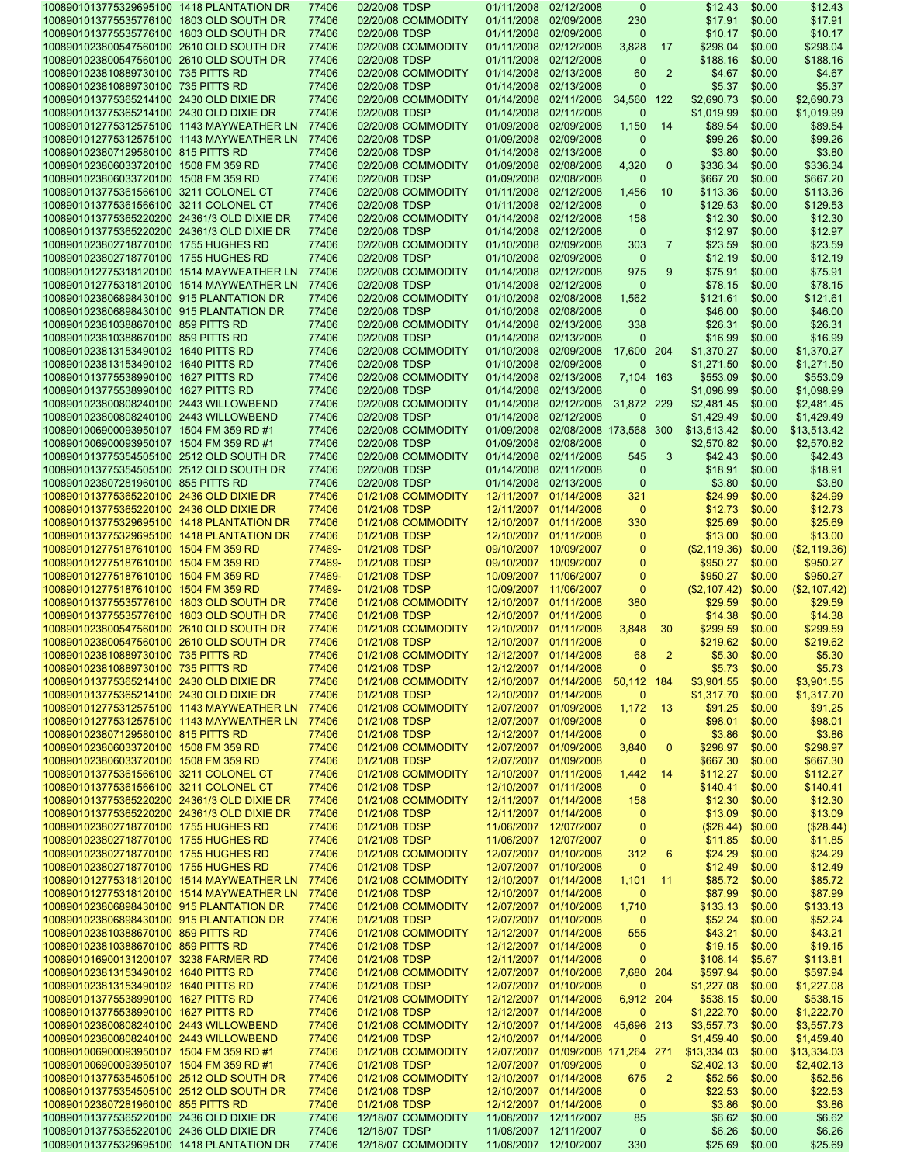| 1008901013775329695100 1418 PLANTATION DR                                            | 77406          | 02/20/08 TDSP                       | 01/11/2008            | 02/12/2008                        | $\mathbf 0$        |                | \$12.43            | \$0.00           | \$12.43           |
|--------------------------------------------------------------------------------------|----------------|-------------------------------------|-----------------------|-----------------------------------|--------------------|----------------|--------------------|------------------|-------------------|
| 1008901013775535776100 1803 OLD SOUTH DR                                             | 77406          | 02/20/08 COMMODITY                  | 01/11/2008 02/09/2008 |                                   | 230                |                | \$17.91            | \$0.00           | \$17.91           |
| 1008901013775535776100 1803 OLD SOUTH DR                                             | 77406          | 02/20/08 TDSP                       | 01/11/2008 02/09/2008 |                                   | $\Omega$           |                | \$10.17            | \$0.00           | \$10.17           |
| 1008901023800547560100 2610 OLD SOUTH DR                                             | 77406          | 02/20/08 COMMODITY                  |                       | 01/11/2008 02/12/2008             | 3,828              | 17             | \$298.04           | \$0.00           | \$298.04          |
| 1008901023800547560100 2610 OLD SOUTH DR                                             | 77406          | 02/20/08 TDSP                       | 01/11/2008 02/12/2008 |                                   | $\mathbf{0}$       |                | \$188.16           | \$0.00           | \$188.16          |
| 1008901023810889730100 735 PITTS RD                                                  | 77406          | 02/20/08 COMMODITY                  | 01/14/2008 02/13/2008 |                                   | 60                 | $\overline{2}$ | \$4.67             | \$0.00           | \$4.67            |
| 1008901023810889730100 735 PITTS RD                                                  | 77406          | 02/20/08 TDSP                       | 01/14/2008 02/13/2008 |                                   | $\Omega$           |                | \$5.37             | \$0.00           | \$5.37            |
| 1008901013775365214100 2430 OLD DIXIE DR                                             | 77406          | 02/20/08 COMMODITY                  |                       | 01/14/2008 02/11/2008             | 34,560             | 122            | \$2,690.73         | \$0.00           | \$2,690.73        |
| 1008901013775365214100 2430 OLD DIXIE DR                                             | 77406          | 02/20/08 TDSP                       | 01/14/2008 02/11/2008 |                                   | $\Omega$           |                | \$1,019.99         | \$0.00           | \$1,019.99        |
| 1008901012775312575100 1143 MAYWEATHER LN                                            | 77406          | 02/20/08 COMMODITY                  |                       | 01/09/2008 02/09/2008             | 1,150              | 14             | \$89.54            | \$0.00           | \$89.54           |
| 1008901012775312575100 1143 MAYWEATHER LN                                            | 77406          | 02/20/08 TDSP                       | 01/09/2008            | 02/09/2008                        | $\Omega$           |                | \$99.26            | \$0.00           | \$99.26           |
| 1008901023807129580100 815 PITTS RD                                                  | 77406          | 02/20/08 TDSP                       |                       | 01/14/2008 02/13/2008             | $\mathbf{0}$       |                | \$3.80             | \$0.00           | \$3.80            |
| 1008901023806033720100 1508 FM 359 RD                                                | 77406          | 02/20/08 COMMODITY                  |                       | 01/09/2008 02/08/2008             | 4,320              | $\mathbf 0$    | \$336.34           | \$0.00           | \$336.34          |
| 1008901023806033720100 1508 FM 359 RD                                                | 77406          | 02/20/08 TDSP                       | 01/09/2008 02/08/2008 |                                   | $\Omega$           |                | \$667.20           | \$0.00           | \$667.20          |
| 1008901013775361566100 3211 COLONEL CT                                               | 77406          | 02/20/08 COMMODITY                  | 01/11/2008 02/12/2008 |                                   | 1,456              | 10             | \$113.36           | \$0.00           | \$113.36          |
| 1008901013775361566100 3211 COLONEL CT                                               | 77406          | 02/20/08 TDSP                       |                       | 01/11/2008 02/12/2008             | $\mathbf{0}$       |                | \$129.53           | \$0.00           | \$129.53          |
| 1008901013775365220200 24361/3 OLD DIXIE DR                                          | 77406          | 02/20/08 COMMODITY                  |                       | 01/14/2008 02/12/2008             | 158                |                | \$12.30            | \$0.00           | \$12.30           |
| 1008901013775365220200 24361/3 OLD DIXIE DR                                          | 77406          | 02/20/08 TDSP                       | 01/14/2008 02/12/2008 |                                   | $\mathbf{0}$       |                | \$12.97            | \$0.00           | \$12.97           |
| 1008901023802718770100 1755 HUGHES RD                                                | 77406          | 02/20/08 COMMODITY                  | 01/10/2008 02/09/2008 |                                   | 303                | $\overline{7}$ | \$23.59            | \$0.00           | \$23.59           |
| 1008901023802718770100 1755 HUGHES RD                                                | 77406          | 02/20/08 TDSP                       |                       | 01/10/2008 02/09/2008             | $\mathbf{0}$       |                | \$12.19            | \$0.00           | \$12.19           |
| 1008901012775318120100 1514 MAYWEATHER LN                                            | 77406          | 02/20/08 COMMODITY                  |                       | 01/14/2008 02/12/2008             | 975                | 9              | \$75.91            | \$0.00           | \$75.91           |
| 1008901012775318120100 1514 MAYWEATHER LN                                            | 77406          | 02/20/08 TDSP                       | 01/14/2008 02/12/2008 |                                   | $\mathbf{0}$       |                | \$78.15            | \$0.00           | \$78.15           |
| 1008901023806898430100 915 PLANTATION DR                                             | 77406          | 02/20/08 COMMODITY                  |                       | 01/10/2008 02/08/2008             | 1,562              |                | \$121.61           | \$0.00           | \$121.61          |
| 1008901023806898430100 915 PLANTATION DR                                             | 77406          | 02/20/08 TDSP                       | 01/10/2008 02/08/2008 |                                   | $\mathbf{0}$       |                | \$46.00            | \$0.00           | \$46.00           |
| 1008901023810388670100 859 PITTS RD                                                  | 77406          | 02/20/08 COMMODITY                  | 01/14/2008 02/13/2008 |                                   | 338                |                | \$26.31            | \$0.00           | \$26.31           |
| 1008901023810388670100 859 PITTS RD                                                  | 77406          | 02/20/08 TDSP                       | 01/14/2008 02/13/2008 |                                   | $\Omega$           |                | \$16.99            | \$0.00           | \$16.99           |
| 1008901023813153490102 1640 PITTS RD                                                 | 77406          | 02/20/08 COMMODITY                  |                       | 01/10/2008 02/09/2008             | 17,600             | 204            | \$1,370.27         | \$0.00           | \$1,370.27        |
| 1008901023813153490102 1640 PITTS RD                                                 | 77406          | 02/20/08 TDSP                       | 01/10/2008 02/09/2008 |                                   | $\Omega$           |                | \$1,271.50         | \$0.00           | \$1,271.50        |
| 1008901013775538990100 1627 PITTS RD                                                 | 77406          | 02/20/08 COMMODITY                  | 01/14/2008 02/13/2008 |                                   | 7,104              | 163            | \$553.09           | \$0.00           | \$553.09          |
| 1008901013775538990100 1627 PITTS RD                                                 | 77406          | 02/20/08 TDSP                       | 01/14/2008 02/13/2008 |                                   | $\Omega$           |                | \$1,098.99         | \$0.00           | \$1,098.99        |
| 1008901023800808240100 2443 WILLOWBEND                                               | 77406          | 02/20/08 COMMODITY                  |                       | 01/14/2008 02/12/2008             | 31,872 229         |                | \$2,481.45         | \$0.00           | \$2,481.45        |
| 1008901023800808240100 2443 WILLOWBEND                                               | 77406          | 02/20/08 TDSP                       | 01/14/2008 02/12/2008 |                                   | $\Omega$           |                | \$1,429.49         | \$0.00           | \$1,429.49        |
| 1008901006900093950107 1504 FM 359 RD #1                                             | 77406          | 02/20/08 COMMODITY                  |                       | 01/09/2008 02/08/2008 173,568     |                    | 300            | \$13,513.42        | \$0.00           | \$13,513.42       |
| 1008901006900093950107 1504 FM 359 RD #1                                             | 77406          | 02/20/08 TDSP                       | 01/09/2008 02/08/2008 |                                   | $\mathbf{0}$       |                | \$2,570.82         | \$0.00           | \$2,570.82        |
| 1008901013775354505100 2512 OLD SOUTH DR                                             | 77406          | 02/20/08 COMMODITY                  | 01/14/2008 02/11/2008 |                                   | 545                | 3              | \$42.43            | \$0.00           | \$42.43           |
| 1008901013775354505100 2512 OLD SOUTH DR                                             | 77406          | 02/20/08 TDSP                       |                       | 01/14/2008 02/11/2008             | $\mathbf{0}$       |                | \$18.91            | \$0.00           | \$18.91           |
| 1008901023807281960100 855 PITTS RD                                                  | 77406          | 02/20/08 TDSP                       |                       | 01/14/2008 02/13/2008             | $\mathbf{0}$       |                | \$3.80             | \$0.00           | \$3.80            |
| 1008901013775365220100 2436 OLD DIXIE DR                                             | 77406          | 01/21/08 COMMODITY                  |                       | 12/11/2007 01/14/2008             | 321                |                | \$24.99            | \$0.00           | \$24.99           |
| 1008901013775365220100 2436 OLD DIXIE DR                                             | 77406          | 01/21/08 TDSP                       |                       | 12/11/2007 01/14/2008             | $\mathbf 0$        |                | \$12.73            | \$0.00           | \$12.73           |
| 1008901013775329695100 1418 PLANTATION DR                                            | 77406          | 01/21/08 COMMODITY                  |                       | 12/10/2007 01/11/2008             | 330                |                | \$25.69            | \$0.00           | \$25.69           |
| 1008901013775329695100 1418 PLANTATION DR                                            | 77406          | 01/21/08 TDSP                       |                       | 12/10/2007 01/11/2008             | $\mathbf 0$        |                | \$13.00            | \$0.00           | \$13.00           |
| 1008901012775187610100 1504 FM 359 RD                                                | 77469-         | 01/21/08 TDSP                       |                       | 09/10/2007 10/09/2007             | 0                  |                | (\$2,119.36)       | \$0.00           | (\$2,119.36)      |
| 1008901012775187610100 1504 FM 359 RD                                                | 77469-         | 01/21/08 TDSP                       |                       | 09/10/2007 10/09/2007             | 0                  |                | \$950.27           | \$0.00           | \$950.27          |
| 1008901012775187610100 1504 FM 359 RD                                                | 77469-         | 01/21/08 TDSP                       |                       | 10/09/2007 11/06/2007             | $\Omega$           |                | \$950.27           | \$0.00           | \$950.27          |
| 1008901012775187610100 1504 FM 359 RD                                                | 77469-         | 01/21/08 TDSP                       |                       | 10/09/2007 11/06/2007             | $\mathbf 0$        |                | (\$2,107.42)       | \$0.00           | (\$2,107.42)      |
| 1008901013775535776100 1803 OLD SOUTH DR                                             | 77406          | 01/21/08 COMMODITY                  |                       | 12/10/2007 01/11/2008             | 380                |                | \$29.59            | \$0.00           | \$29.59           |
| 1008901013775535776100 1803 OLD SOUTH DR                                             | 77406          | 01/21/08 TDSP                       | 12/10/2007 01/11/2008 |                                   | $\Omega$           |                | \$14.38            | \$0.00           | \$14.38           |
| 1008901023800547560100 2610 OLD SOUTH DR                                             | 77406          | 01/21/08 COMMODITY                  |                       | 12/10/2007 01/11/2008             | 3,848              | 30             | \$299.59           | \$0.00           | \$299.59          |
| 1008901023800547560100 2610 OLD SOUTH DR                                             | 77406          | 01/21/08 TDSP                       |                       | 12/10/2007 01/11/2008             | $\mathbf{0}$       |                | \$219.62           | \$0.00           | \$219.62          |
| 1008901023810889730100 735 PITTS RD                                                  | 77406          | 01/21/08 COMMODITY                  | 12/12/2007 01/14/2008 |                                   | 68                 | $\overline{2}$ | \$5.30             | \$0.00           | \$5.30            |
| 1008901023810889730100 735 PITTS RD                                                  | 77406          | 01/21/08 TDSP                       |                       | 12/12/2007 01/14/2008             | $\mathbf{0}$       |                | \$5.73             | \$0.00           | \$5.73            |
| 1008901013775365214100 2430 OLD DIXIE DR                                             | 77406          | 01/21/08 COMMODITY                  |                       | 12/10/2007 01/14/2008             | 50,112 184         |                | \$3,901.55         | \$0.00           | \$3,901.55        |
| 1008901013775365214100 2430 OLD DIXIE DR                                             | 77406          | 01/21/08 TDSP                       | 12/10/2007 01/14/2008 |                                   |                    |                | \$1,317.70         | \$0.00           | \$1,317.70        |
| 1008901012775312575100 1143 MAYWEATHER LN                                            | 77406          | 01/21/08 COMMODITY                  |                       | 12/07/2007 01/09/2008             | 1,172              | 13             | \$91.25            | \$0.00           | \$91.25           |
| 1008901012775312575100 1143 MAYWEATHER LN                                            | 77406          | 01/21/08 TDSP                       |                       | 12/07/2007 01/09/2008             | $\mathbf 0$        |                | \$98.01            | \$0.00           | \$98.01           |
| 1008901023807129580100 815 PITTS RD                                                  | 77406          | 01/21/08 TDSP                       |                       | 12/12/2007 01/14/2008             | $\mathbf{0}$       |                | \$3.86             | \$0.00           | \$3.86            |
| 1008901023806033720100 1508 FM 359 RD                                                | 77406          | 01/21/08 COMMODITY                  |                       | 12/07/2007 01/09/2008             | 3,840              | $\mathbf{0}$   | \$298.97           | \$0.00           | \$298.97          |
| 1008901023806033720100 1508 FM 359 RD                                                | 77406          | 01/21/08 TDSP                       |                       | 12/07/2007 01/09/2008             | 0                  |                | \$667.30           | \$0.00           | \$667.30          |
| 1008901013775361566100 3211 COLONEL CT                                               | 77406          | 01/21/08 COMMODITY                  | 12/10/2007 01/11/2008 |                                   | 1,442              | 14             | \$112.27           | \$0.00           | \$112.27          |
| 1008901013775361566100 3211 COLONEL CT                                               | 77406          | 01/21/08 TDSP                       |                       | 12/10/2007 01/11/2008             | $\mathbf{0}$       |                | \$140.41           | \$0.00           | \$140.41          |
| 1008901013775365220200 24361/3 OLD DIXIE DR                                          | 77406          | 01/21/08 COMMODITY                  |                       | 12/11/2007 01/14/2008             | 158                |                | \$12.30            | \$0.00           | \$12.30           |
| 1008901013775365220200 24361/3 OLD DIXIE DR                                          | 77406          | 01/21/08 TDSP                       |                       | 12/11/2007 01/14/2008             | $\mathbf 0$        |                | \$13.09            | \$0.00           | \$13.09           |
| 1008901023802718770100 1755 HUGHES RD                                                | 77406          | 01/21/08 TDSP                       |                       | 11/06/2007 12/07/2007             | $\mathbf 0$        |                | (\$28.44)          | \$0.00           | (\$28.44)         |
| 1008901023802718770100 1755 HUGHES RD                                                | 77406          | 01/21/08 TDSP                       |                       | 11/06/2007 12/07/2007             | $\mathbf 0$        |                | \$11.85            | \$0.00           | \$11.85           |
| 1008901023802718770100 1755 HUGHES RD                                                | 77406          | 01/21/08 COMMODITY                  |                       | 12/07/2007 01/10/2008             | 312                | 6              | \$24.29            | \$0.00           | \$24.29           |
| 1008901023802718770100 1755 HUGHES RD                                                | 77406          | 01/21/08 TDSP                       |                       | 12/07/2007 01/10/2008             | $\mathbf{0}$       |                | \$12.49            | \$0.00           | \$12.49           |
| 1008901012775318120100 1514 MAYWEATHER LN                                            | 77406          | 01/21/08 COMMODITY                  |                       | 12/10/2007 01/14/2008             | 1,101              | 11             | \$85.72            | \$0.00           | \$85.72           |
| 1008901012775318120100 1514 MAYWEATHER LN                                            | 77406          | 01/21/08 TDSP                       | 12/10/2007 01/14/2008 |                                   | $\mathbf{0}$       |                | \$87.99            | \$0.00           | \$87.99           |
| 1008901023806898430100 915 PLANTATION DR                                             | 77406          | 01/21/08 COMMODITY                  |                       | 12/07/2007 01/10/2008             | 1,710              |                | \$133.13           | \$0.00           | \$133.13          |
| 1008901023806898430100 915 PLANTATION DR                                             | 77406          | 01/21/08 TDSP                       |                       | 12/07/2007 01/10/2008             | $\mathbf 0$        |                | \$52.24            | \$0.00           | \$52.24           |
| 1008901023810388670100 859 PITTS RD                                                  | 77406          | 01/21/08 COMMODITY                  | 12/12/2007 01/14/2008 |                                   | 555                |                | \$43.21            | \$0.00           | \$43.21           |
| 1008901023810388670100 859 PITTS RD                                                  | 77406          | 01/21/08 TDSP                       |                       | 12/12/2007 01/14/2008             | $\mathbf 0$        |                | \$19.15            | \$0.00           | \$19.15           |
| 1008901016900131200107 3238 FARMER RD                                                | 77406          | 01/21/08 TDSP                       |                       | 12/11/2007 01/14/2008             | 0                  |                | \$108.14           | \$5.67           | \$113.81          |
| 1008901023813153490102 1640 PITTS RD                                                 | 77406          | 01/21/08 COMMODITY                  |                       | 12/07/2007 01/10/2008             | 7,680 204          |                | \$597.94           | \$0.00           | \$597.94          |
| 1008901023813153490102 1640 PITTS RD                                                 | 77406          | 01/21/08 TDSP                       |                       | 12/07/2007 01/10/2008             | 0                  |                | \$1,227.08         | \$0.00           | \$1,227.08        |
| 1008901013775538990100 1627 PITTS RD                                                 | 77406          | 01/21/08 COMMODITY                  |                       | 12/12/2007 01/14/2008             | 6,912 204          |                | \$538.15           | \$0.00           | \$538.15          |
| 1008901013775538990100 1627 PITTS RD                                                 | 77406          | 01/21/08 TDSP                       |                       | 12/12/2007 01/14/2008             |                    |                | \$1,222.70         | \$0.00           | \$1,222.70        |
| 1008901023800808240100 2443 WILLOWBEND                                               | 77406          | 01/21/08 COMMODITY                  |                       | 12/10/2007 01/14/2008             | 45,696 213         |                | \$3,557.73         | \$0.00           | \$3,557.73        |
| 1008901023800808240100 2443 WILLOWBEND                                               | 77406          | 01/21/08 TDSP                       | 12/10/2007 01/14/2008 |                                   | 0                  |                | \$1,459.40         | \$0.00           | \$1,459.40        |
| 1008901006900093950107 1504 FM 359 RD #1                                             | 77406          | 01/21/08 COMMODITY                  |                       | 12/07/2007 01/09/2008 171,264 271 |                    |                | \$13,334.03        | \$0.00           | \$13,334.03       |
| 1008901006900093950107 1504 FM 359 RD #1<br>1008901013775354505100 2512 OLD SOUTH DR | 77406<br>77406 | 01/21/08 TDSP<br>01/21/08 COMMODITY | 12/07/2007 01/09/2008 | 12/10/2007 01/14/2008             | 0                  | $\overline{2}$ | \$2,402.13         | \$0.00           | \$2,402.13        |
| 1008901013775354505100 2512 OLD SOUTH DR                                             | 77406          | 01/21/08 TDSP                       |                       | 12/10/2007 01/14/2008             | 675<br>$\mathbf 0$ |                | \$52.56<br>\$22.53 | \$0.00           | \$52.56           |
| 1008901023807281960100 855 PITTS RD                                                  | 77406          | 01/21/08 TDSP                       | 12/12/2007 01/14/2008 |                                   | $\mathbf 0$        |                | \$3.86             | \$0.00<br>\$0.00 | \$22.53<br>\$3.86 |
| 1008901013775365220100 2436 OLD DIXIE DR                                             | 77406          |                                     |                       |                                   |                    |                |                    |                  |                   |
| 1008901013775365220100 2436 OLD DIXIE DR                                             | 77406          | 12/18/07 COMMODITY<br>12/18/07 TDSP | 11/08/2007 12/11/2007 | 11/08/2007 12/11/2007             | 85<br>$\mathbf{0}$ |                | \$6.62<br>\$6.26   | \$0.00<br>\$0.00 | \$6.62<br>\$6.26  |
| 1008901013775329695100 1418 PLANTATION DR                                            | 77406          | 12/18/07 COMMODITY                  |                       | 11/08/2007 12/10/2007             | 330                |                | \$25.69 \$0.00     |                  | \$25.69           |
|                                                                                      |                |                                     |                       |                                   |                    |                |                    |                  |                   |